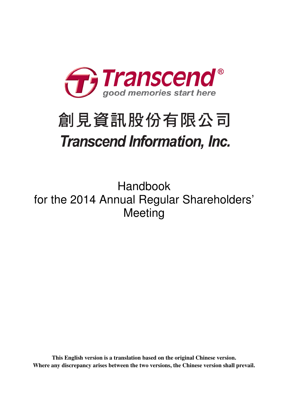

# 創見資訊股份有限公司 **Transcend Information, Inc.**

Handbook for the 2014 Annual Regular Shareholders' Meeting

**This English version is a translation based on the original Chinese version. Where any discrepancy arises between the two versions, the Chinese version shall prevail.**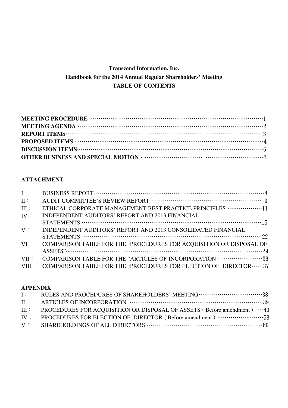# **Transcend Information, Inc. Handbook for the 2014 Annual Regular Shareholders' Meeting TABLE OF CONTENTS**

# **ATTACHMENT**

| ETHICAL CORPORATE MANAGEMENT BEST PRACTICE PRINCIPLES  [1                           |
|-------------------------------------------------------------------------------------|
| INDEPENDENT AUDITORS' REPORT AND 2013 FINANCIAL                                     |
|                                                                                     |
| INDEPENDENT AUDITORS' REPORT AND 2013 CONSOLIDATED FINANCIAL                        |
|                                                                                     |
| COMPARISON TABLE FOR THE "PROCEDURES FOR ACQUISITION OR DISPOSAL OF                 |
|                                                                                     |
| COMPARISON TABLE FOR THE "ARTICLES OF INCORPORATION · ···························36 |
| COMPARISON TABLE FOR THE "PROCEDURES FOR ELECTION OF DIRECTOR  37                   |
|                                                                                     |

## **APPENDIX**

| III : PROCEDURES FOR ACQUISITION OR DISPOSAL OF ASSETS (Before amendment) $\cdots 40$ |  |
|---------------------------------------------------------------------------------------|--|
| IV: PROCEDURES FOR ELECTION OF DIRECTOR (Before amendment) 58                         |  |
|                                                                                       |  |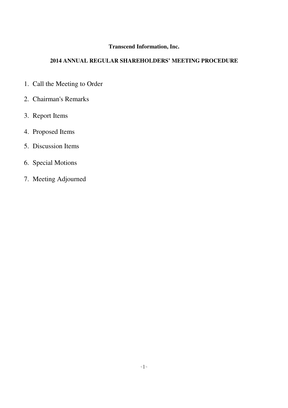# **Transcend Information, Inc.**

# **2014 ANNUAL REGULAR SHAREHOLDERS' MEETING PROCEDURE**

- 1. Call the Meeting to Order
- 2. Chairman's Remarks
- 3. Report Items
- 4. Proposed Items
- 5. Discussion Items
- 6. Special Motions
- 7. Meeting Adjourned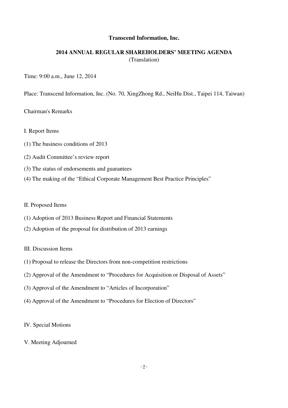#### **Transcend Information, Inc.**

## **2014 ANNUAL REGULAR SHAREHOLDERS' MEETING AGENDA**  (Translation)

#### Time: 9:00 a.m., June 12, 2014

Place: Transcend Information, Inc. (No. 70, XingZhong Rd., NeiHu Dist., Taipei 114, Taiwan)

#### Chairman's Remarks

- I. Report Items
- (1) The business conditions of 2013
- (2) Audit Committee's review report
- (3) The status of endorsements and guarantees
- (4) The making of the "Ethical Corporate Management Best Practice Principles"

#### II. Proposed Items

- (1) Adoption of 2013 Business Report and Financial Statements
- (2) Adoption of the proposal for distribution of 2013 earnings

#### III. Discussion Items

- (1) Proposal to release the Directors from non-competition restrictions
- (2) Approval of the Amendment to "Procedures for Acquisition or Disposal of Assets"
- (3) Approval of the Amendment to "Articles of Incorporation"
- (4) Approval of the Amendment to "Procedures for Election of Directors"

#### IV. Special Motions

#### V. Meeting Adjourned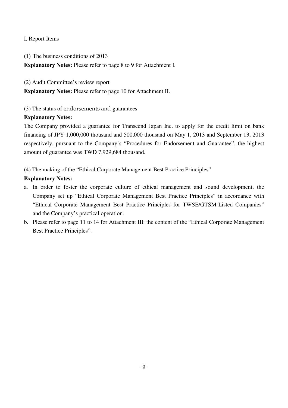## I. Report Items

(1) The business conditions of 2013

**Explanatory Notes:** Please refer to page 8 to 9 for Attachment I.

(2) Audit Committee's review report

**Explanatory Notes:** Please refer to page 10 for Attachment II.

(3) The status of endorsements and guarantees

## **Explanatory Notes:**

The Company provided a guarantee for Transcend Japan Inc. to apply for the credit limit on bank financing of JPY 1,000,000 thousand and 500,000 thousand on May 1, 2013 and September 13, 2013 respectively, pursuant to the Company's "Procedures for Endorsement and Guarantee", the highest amount of guarantee was TWD 7,929,684 thousand.

(4) The making of the "Ethical Corporate Management Best Practice Principles"

# **Explanatory Notes:**

- a. In order to foster the corporate culture of ethical management and sound development, the Company set up "Ethical Corporate Management Best Practice Principles" in accordance with "Ethical Corporate Management Best Practice Principles for TWSE/GTSM-Listed Companies" and the Company's practical operation.
- b. Please refer to page 11 to 14 for Attachment III: the content of the "Ethical Corporate Management Best Practice Principles".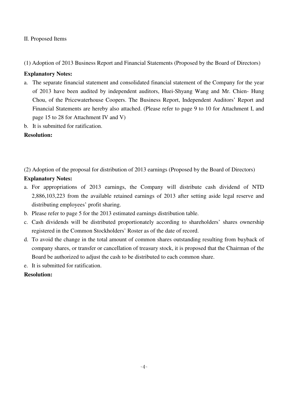## II. Proposed Items

(1) Adoption of 2013 Business Report and Financial Statements (Proposed by the Board of Directors)

## **Explanatory Notes:**

- a. The separate financial statement and consolidated financial statement of the Company for the year of 2013 have been audited by independent auditors, Huei-Shyang Wang and Mr. Chien- Hung Chou, of the Pricewaterhouse Coopers. The Business Report, Independent Auditors' Report and Financial Statements are hereby also attached. (Please refer to page 9 to 10 for Attachment I, and page 15 to 28 for Attachment IV and V)
- b. It is submitted for ratification.

## **Resolution:**

(2) Adoption of the proposal for distribution of 2013 earnings (Proposed by the Board of Directors)

## **Explanatory Notes:**

- a. For appropriations of 2013 earnings, the Company will distribute cash dividend of NTD 2,886,103,223 from the available retained earnings of 2013 after setting aside legal reserve and distributing employees' profit sharing.
- b. Please refer to page 5 for the 2013 estimated earnings distribution table.
- c. Cash dividends will be distributed proportionately according to shareholders' shares ownership registered in the Common Stockholders' Roster as of the date of record.
- d. To avoid the change in the total amount of common shares outstanding resulting from buyback of company shares, or transfer or cancellation of treasury stock, it is proposed that the Chairman of the Board be authorized to adjust the cash to be distributed to each common share.
- e. It is submitted for ratification.

## **Resolution:**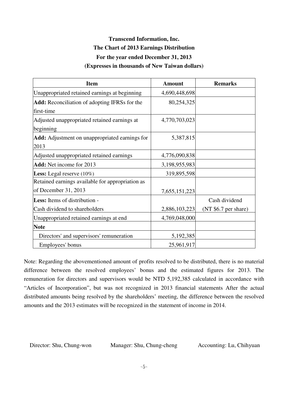# **Transcend Information, Inc. The Chart of 2013 Earnings Distribution For the year ended December 31, 2013 (Expresses in thousands of New Taiwan dollars)**

| <b>Item</b>                                      | <b>Amount</b> | <b>Remarks</b>       |
|--------------------------------------------------|---------------|----------------------|
| Unappropriated retained earnings at beginning    | 4,690,448,698 |                      |
| Add: Reconciliation of adopting IFRSs for the    | 80,254,325    |                      |
| first-time                                       |               |                      |
| Adjusted unappropriated retained earnings at     | 4,770,703,023 |                      |
| beginning                                        |               |                      |
| Add: Adjustment on unappropriated earnings for   | 5,387,815     |                      |
| 2013                                             |               |                      |
| Adjusted unappropriated retained earnings        | 4,776,090,838 |                      |
| <b>Add:</b> Net income for 2013                  | 3,198,955,983 |                      |
| <b>Less:</b> Legal reserve $(10\%)$              | 319,895,598   |                      |
| Retained earnings available for appropriation as |               |                      |
| of December 31, 2013                             | 7,655,151,223 |                      |
| <b>Less:</b> Items of distribution -             |               | Cash dividend        |
| Cash dividend to shareholders                    | 2,886,103,223 | (NT \$6.7 per share) |
| Unappropriated retained earnings at end          | 4,769,048,000 |                      |
| <b>Note</b>                                      |               |                      |
| Directors' and supervisors' remuneration         | 5,192,385     |                      |
| Employees' bonus                                 | 25,961,917    |                      |

Note: Regarding the abovementioned amount of profits resolved to be distributed, there is no material difference between the resolved employees' bonus and the estimated figures for 2013. The remuneration for directors and supervisors would be NTD 5,192,385 calculated in accordance with "Articles of Incorporation", but was not recognized in 2013 financial statements After the actual distributed amounts being resolved by the shareholders' meeting, the difference between the resolved amounts and the 2013 estimates will be recognized in the statement of income in 2014.

Director: Shu, Chung-won Manager: Shu, Chung-cheng Accounting: Lu, Chihyuan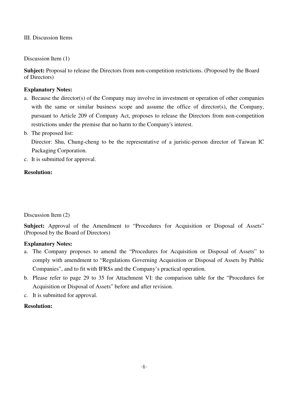III. Discussion Items

Discussion Item (1)

**Subject:** Proposal to release the Directors from non-competition restrictions. (Proposed by the Board of Directors)

## **Explanatory Notes:**

- a. Because the director(s) of the Company may involve in investment or operation of other companies with the same or similar business scope and assume the office of director(s), the Company, pursuant to Article 209 of Company Act, proposes to release the Directors from non-competition restrictions under the premise that no harm to the Company's interest.
- b. The proposed list:

 Director: Shu, Chung-cheng to be the representative of a juristic-person director of Taiwan IC Packaging Corporation.

c. It is submitted for approval.

## **Resolution:**

Discussion Item (2)

Subject: Approval of the Amendment to "Procedures for Acquisition or Disposal of Assets" (Proposed by the Board of Directors)

## **Explanatory Notes:**

- a. The Company proposes to amend the "Procedures for Acquisition or Disposal of Assets" to comply with amendment to "Regulations Governing Acquisition or Disposal of Assets by Public Companies", and to fit with IFRSs and the Company's practical operation.
- b. Please refer to page 29 to 35 for Attachment VI: the comparison table for the "Procedures for Acquisition or Disposal of Assets" before and after revision.
- c. It is submitted for approval.

# **Resolution:**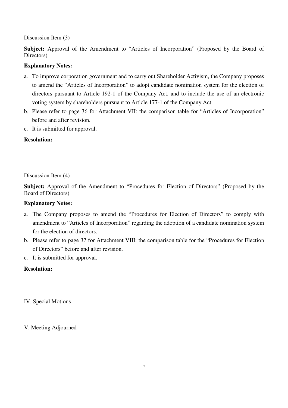Discussion Item (3)

**Subject:** Approval of the Amendment to "Articles of Incorporation" (Proposed by the Board of Directors)

## **Explanatory Notes:**

- a. To improve corporation government and to carry out Shareholder Activism, the Company proposes to amend the "Articles of Incorporation" to adopt candidate nomination system for the election of directors pursuant to Article 192-1 of the Company Act, and to include the use of an electronic voting system by shareholders pursuant to Article 177-1 of the Company Act.
- b. Please refer to page 36 for Attachment VII: the comparison table for "Articles of Incorporation" before and after revision.
- c. It is submitted for approval.

## **Resolution:**

Discussion Item (4)

**Subject:** Approval of the Amendment to "Procedures for Election of Directors" (Proposed by the Board of Directors)

## **Explanatory Notes:**

- a. The Company proposes to amend the "Procedures for Election of Directors" to comply with amendment to "Articles of Incorporation" regarding the adoption of a candidate nomination system for the election of directors.
- b. Please refer to page 37 for Attachment VIII: the comparison table for the "Procedures for Election of Directors" before and after revision.
- c. It is submitted for approval.

## **Resolution:**

IV. Special Motions

V. Meeting Adjourned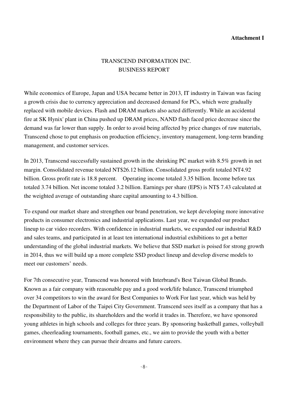## **Attachment I**

# TRANSCEND INFORMATION INC. BUSINESS REPORT

While economics of Europe, Japan and USA became better in 2013, IT industry in Taiwan was facing a growth crisis due to currency appreciation and decreased demand for PCs, which were gradually replaced with mobile devices. Flash and DRAM markets also acted differently. While an accidental fire at SK Hynix' plant in China pushed up DRAM prices, NAND flash faced price decrease since the demand was far lower than supply. In order to avoid being affected by price changes of raw materials, Transcend chose to put emphasis on production efficiency, inventory management, long-term branding management, and customer services.

In 2013, Transcend successfully sustained growth in the shrinking PC market with 8.5% growth in net margin. Consolidated revenue totaled NT\$26.12 billion. Consolidated gross profit totaled NT4.92 billion. Gross profit rate is 18.8 percent. Operating income totaled 3.35 billion. Income before tax totaled 3.74 billion. Net income totaled 3.2 billion. Earnings per share (EPS) is NT\$ 7.43 calculated at the weighted average of outstanding share capital amounting to 4.3 billion.

To expand our market share and strengthen our brand penetration, we kept developing more innovative products in consumer electronics and industrial applications. Last year, we expanded our product lineup to car video recorders. With confidence in industrial markets, we expanded our industrial R&D and sales teams, and participated in at least ten international industrial exhibitions to get a better understanding of the global industrial markets. We believe that SSD market is poised for strong growth in 2014, thus we will build up a more complete SSD product lineup and develop diverse models to meet our customers' needs.

For 7th consecutive year, Transcend was honored with Interbrand's Best Taiwan Global Brands. Known as a fair company with reasonable pay and a good work/life balance, Transcend triumphed over 34 competitors to win the award for Best Companies to Work For last year, which was held by the Department of Labor of the Taipei City Government. Transcend sees itself as a company that has a responsibility to the public, its shareholders and the world it trades in. Therefore, we have sponsored young athletes in high schools and colleges for three years. By sponsoring basketball games, volleyball games, cheerleading tournaments, football games, etc., we aim to provide the youth with a better environment where they can pursue their dreams and future careers.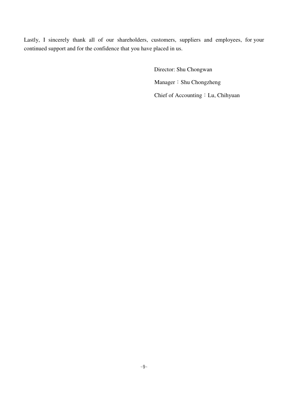Lastly, I sincerely thank all of our shareholders, customers, suppliers and employees, for your continued support and for the confidence that you have placed in us.

> Director: Shu Chongwan Manager: Shu Chongzheng Chief of Accounting: Lu, Chihyuan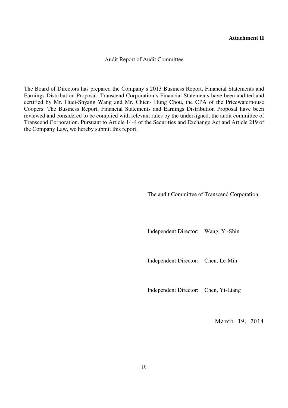## **Attachment II**

Audit Report of Audit Committee

The Board of Directors has prepared the Company's 2013 Business Report, Financial Statements and Earnings Distribution Proposal. Transcend Corporation's Financial Statements have been audited and certified by Mr. Huei-Shyang Wang and Mr. Chien- Hung Chou, the CPA of the Pricewaterhouse Coopers. The Business Report, Financial Statements and Earnings Distribution Proposal have been reviewed and considered to be complied with relevant rules by the undersigned, the audit committee of Transcend Corporation. Pursuant to Article 14-4 of the Securities and Exchange Act and Article 219 of the Company Law, we hereby submit this report.

The audit Committee of Transcend Corporation

Independent Director: Wang, Yi-Shin

Independent Director: Chen, Le-Min

Independent Director: Chen, Yi-Liang

March 19, 2014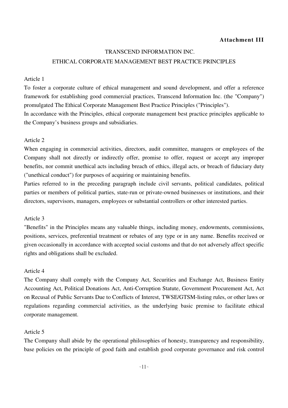## **Attachment III**

#### TRANSCEND INFORMATION INC.

## ETHICAL CORPORATE MANAGEMENT BEST PRACTICE PRINCIPLES

#### Article 1

To foster a corporate culture of ethical management and sound development, and offer a reference framework for establishing good commercial practices, Transcend Information Inc. (the "Company") promulgated The Ethical Corporate Management Best Practice Principles ("Principles").

In accordance with the Principles, ethical corporate management best practice principles applicable to the Company's business groups and subsidiaries.

#### Article 2

When engaging in commercial activities, directors, audit committee, managers or employees of the Company shall not directly or indirectly offer, promise to offer, request or accept any improper benefits, nor commit unethical acts including breach of ethics, illegal acts, or breach of fiduciary duty ("unethical conduct") for purposes of acquiring or maintaining benefits.

Parties referred to in the preceding paragraph include civil servants, political candidates, political parties or members of political parties, state-run or private-owned businesses or institutions, and their directors, supervisors, managers, employees or substantial controllers or other interested parties.

#### Article 3

"Benefits" in the Principles means any valuable things, including money, endowments, commissions, positions, services, preferential treatment or rebates of any type or in any name. Benefits received or given occasionally in accordance with accepted social customs and that do not adversely affect specific rights and obligations shall be excluded.

#### Article 4

The Company shall comply with the Company Act, Securities and Exchange Act, Business Entity Accounting Act, Political Donations Act, Anti-Corruption Statute, Government Procurement Act, Act on Recusal of Public Servants Due to Conflicts of Interest, TWSE/GTSM-listing rules, or other laws or regulations regarding commercial activities, as the underlying basic premise to facilitate ethical corporate management.

#### Article 5

The Company shall abide by the operational philosophies of honesty, transparency and responsibility, base policies on the principle of good faith and establish good corporate governance and risk control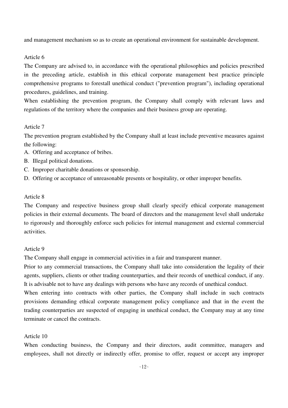and management mechanism so as to create an operational environment for sustainable development.

## Article 6

The Company are advised to, in accordance with the operational philosophies and policies prescribed in the preceding article, establish in this ethical corporate management best practice principle comprehensive programs to forestall unethical conduct ("prevention program"), including operational procedures, guidelines, and training.

When establishing the prevention program, the Company shall comply with relevant laws and regulations of the territory where the companies and their business group are operating.

## Article 7

The prevention program established by the Company shall at least include preventive measures against the following:

- A. Offering and acceptance of bribes.
- B. Illegal political donations.
- C. Improper charitable donations or sponsorship.
- D. Offering or acceptance of unreasonable presents or hospitality, or other improper benefits.

#### Article 8

The Company and respective business group shall clearly specify ethical corporate management policies in their external documents. The board of directors and the management level shall undertake to rigorously and thoroughly enforce such policies for internal management and external commercial activities.

#### Article 9

The Company shall engage in commercial activities in a fair and transparent manner.

Prior to any commercial transactions, the Company shall take into consideration the legality of their agents, suppliers, clients or other trading counterparties, and their records of unethical conduct, if any. It is advisable not to have any dealings with persons who have any records of unethical conduct.

When entering into contracts with other parties, the Company shall include in such contracts provisions demanding ethical corporate management policy compliance and that in the event the trading counterparties are suspected of engaging in unethical conduct, the Company may at any time terminate or cancel the contracts.

## Article 10

When conducting business, the Company and their directors, audit committee, managers and employees, shall not directly or indirectly offer, promise to offer, request or accept any improper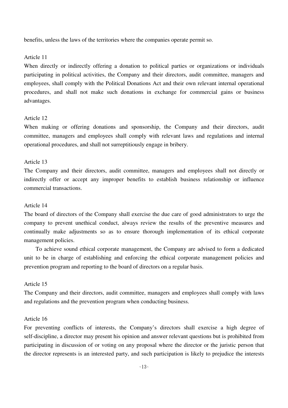benefits, unless the laws of the territories where the companies operate permit so.

#### Article 11

When directly or indirectly offering a donation to political parties or organizations or individuals participating in political activities, the Company and their directors, audit committee, managers and employees, shall comply with the Political Donations Act and their own relevant internal operational procedures, and shall not make such donations in exchange for commercial gains or business advantages.

## Article 12

When making or offering donations and sponsorship, the Company and their directors, audit committee, managers and employees shall comply with relevant laws and regulations and internal operational procedures, and shall not surreptitiously engage in bribery.

#### Article 13

The Company and their directors, audit committee, managers and employees shall not directly or indirectly offer or accept any improper benefits to establish business relationship or influence commercial transactions.

#### Article 14

The board of directors of the Company shall exercise the due care of good administrators to urge the company to prevent unethical conduct, always review the results of the preventive measures and continually make adjustments so as to ensure thorough implementation of its ethical corporate management policies.

 To achieve sound ethical corporate management, the Company are advised to form a dedicated unit to be in charge of establishing and enforcing the ethical corporate management policies and prevention program and reporting to the board of directors on a regular basis.

#### Article 15

The Company and their directors, audit committee, managers and employees shall comply with laws and regulations and the prevention program when conducting business.

## Article 16

For preventing conflicts of interests, the Company's directors shall exercise a high degree of self-discipline, a director may present his opinion and answer relevant questions but is prohibited from participating in discussion of or voting on any proposal where the director or the juristic person that the director represents is an interested party, and such participation is likely to prejudice the interests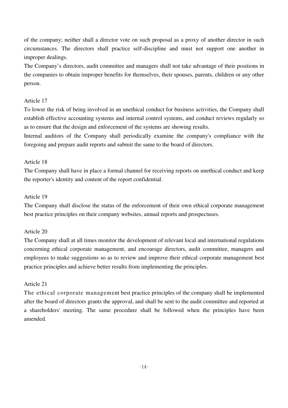of the company; neither shall a director vote on such proposal as a proxy of another director in such circumstances. The directors shall practice self-discipline and must not support one another in improper dealings.

The Company's directors, audit committee and managers shall not take advantage of their positions in the companies to obtain improper benefits for themselves, their spouses, parents, children or any other person.

## Article 17

To lower the risk of being involved in an unethical conduct for business activities, the Company shall establish effective accounting systems and internal control systems, and conduct reviews regularly so as to ensure that the design and enforcement of the systems are showing results.

Internal auditors of the Company shall periodically examine the company's compliance with the foregoing and prepare audit reports and submit the same to the board of directors.

## Article 18

The Company shall have in place a formal channel for receiving reports on unethical conduct and keep the reporter's identity and content of the report confidential.

## Article 19

The Company shall disclose the status of the enforcement of their own ethical corporate management best practice principles on their company websites, annual reports and prospectuses.

## Article 20

The Company shall at all times monitor the development of relevant local and international regulations concerning ethical corporate management, and encourage directors, audit committee, managers and employees to make suggestions so as to review and improve their ethical corporate management best practice principles and achieve better results from implementing the principles.

## Article 21

The ethical corporate management best practice principles of the company shall be implemented after the board of directors grants the approval, and shall be sent to the audit committee and reported at a shareholders' meeting. The same procedure shall be followed when the principles have been amended.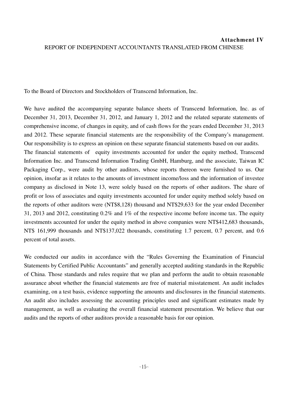# **Attachment IV** REPORT OF INDEPENDENT ACCOUNTANTS TRANSLATED FROM CHINESE

To the Board of Directors and Stockholders of Transcend Information, Inc.

We have audited the accompanying separate balance sheets of Transcend Information, Inc. as of December 31, 2013, December 31, 2012, and January 1, 2012 and the related separate statements of comprehensive income, of changes in equity, and of cash flows for the years ended December 31, 2013 and 2012. These separate financial statements are the responsibility of the Company's management. Our responsibility is to express an opinion on these separate financial statements based on our audits. The financial statements of equity investments accounted for under the equity method. Transcend Information Inc. and Transcend Information Trading GmbH, Hamburg, and the associate, Taiwan IC Packaging Corp., were audit by other auditors, whose reports thereon were furnished to us. Our opinion, insofar as it relates to the amounts of investment income/loss and the information of investee company as disclosed in Note 13, were solely based on the reports of other auditors. The share of profit or loss of associates and equity investments accounted for under equity method solely based on the reports of other auditors were (NT\$8,128) thousand and NT\$29,633 for the year ended December 31, 2013 and 2012, constituting 0.2% and 1% of the respective income before income tax. The equity investments accounted for under the equity method in above companies were NT\$412,683 thousands, NT\$ 161,999 thousands and NT\$137,022 thousands, constituting 1.7 percent, 0.7 percent, and 0.6 percent of total assets.

We conducted our audits in accordance with the "Rules Governing the Examination of Financial Statements by Certified Public Accountants" and generally accepted auditing standards in the Republic of China. Those standards and rules require that we plan and perform the audit to obtain reasonable assurance about whether the financial statements are free of material misstatement. An audit includes examining, on a test basis, evidence supporting the amounts and disclosures in the financial statements. An audit also includes assessing the accounting principles used and significant estimates made by management, as well as evaluating the overall financial statement presentation. We believe that our audits and the reports of other auditors provide a reasonable basis for our opinion.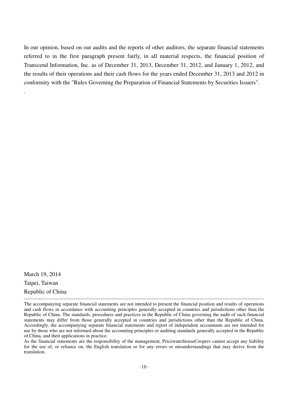In our opinion, based on our audits and the reports of other auditors, the separate financial statements referred to in the first paragraph present fairly, in all material respects, the financial position of Transcend Information, Inc. as of December 31, 2013, December 31, 2012, and January 1, 2012, and the results of their operations and their cash flows for the years ended December 31, 2013 and 2012 in conformity with the "Rules Governing the Preparation of Financial Statements by Securities Issuers".

March 19, 2014 Taipei, Taiwan Republic of China

.

As the financial statements are the responsibility of the management, PricewaterhouseCoopers cannot accept any liability for the use of, or reliance on, the English translation or for any errors or misunderstandings that may derive from the translation.

<sup>-------------------------------------------------------------------------------------------------------------------------------------------------</sup> The accompanying separate financial statements are not intended to present the financial position and results of operations and cash flows in accordance with accounting principles generally accepted in countries and jurisdictions other than the Republic of China. The standards, procedures and practices in the Republic of China governing the audit of such financial statements may differ from those generally accepted in countries and jurisdictions other than the Republic of China. Accordingly, the accompanying separate financial statements and report of independent accountants are not intended for use by those who are not informed about the accounting principles or auditing standards generally accepted in the Republic of China, and their applications in practice.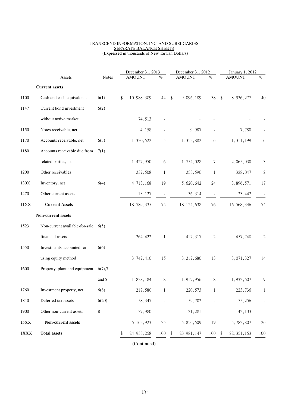#### TRANSCEND INFORMATION, INC. AND SUBSIDIARIES SEPARATE BALANCE SHEETS (Expressed in thousands of New Taiwan Dollars)

|             | Assets                                   | <b>Notes</b> | December 31, 2013<br><b>AMOUNT</b><br>% |              | December 31, 2012<br><b>AMOUNT</b>   | %                        | January 1, 2012<br><b>AMOUNT</b>     | $\%$         |
|-------------|------------------------------------------|--------------|-----------------------------------------|--------------|--------------------------------------|--------------------------|--------------------------------------|--------------|
|             | <b>Current assets</b>                    |              |                                         |              |                                      |                          |                                      |              |
| 1100        | Cash and cash equivalents                | 6(1)         | 10,988,389<br>\$                        | 44           | $\sqrt[6]{\frac{1}{2}}$<br>9,096,189 | 38                       | $\sqrt[6]{\frac{1}{2}}$<br>8,936,277 | 40           |
| 1147        | Current bond investment                  | 6(2)         |                                         |              |                                      |                          |                                      |              |
|             | without active market                    |              | 74,513                                  |              |                                      |                          |                                      |              |
| 1150        | Notes receivable, net                    |              | 4,158                                   |              | 9,987                                |                          | 7,780                                |              |
| 1170        | Accounts receivable, net                 | 6(3)         | 1,330,522                               | 5            | 1,353,882                            | 6                        | 1,311,199                            | 6            |
| 1180        | Accounts receivable due from             | 7(1)         |                                         |              |                                      |                          |                                      |              |
|             | related parties, net                     |              | 1,427,950                               | 6            | 1,754,028                            | 7                        | 2,065,030                            | 3            |
| 1200        | Other receivables                        |              | 237,508                                 | $\mathbf{1}$ | 253,596                              | $\mathbf{1}$             | 328,047                              | $\sqrt{2}$   |
| 130X        | Inventory, net                           | 6(4)         | 4,713,168                               | 19           | 5,620,642                            | 24                       | 3,896,571                            | 17           |
| 1470        | Other current assets                     |              | 13,127                                  |              | 36,314                               | $\overline{\phantom{a}}$ | 23,442                               |              |
| 11XX        | <b>Current Assets</b>                    |              | 18,789,335                              | 75           | 18, 124, 638                         | 76                       | 16,568,346                           | 74           |
|             | Non-current assets                       |              |                                         |              |                                      |                          |                                      |              |
| 1523        | Non-current available-for-sale           | 6(5)         |                                         |              |                                      |                          |                                      |              |
|             | financial assets                         |              | 264,422                                 | $\mathbf{1}$ | 417,317                              | $\mathbf{2}$             | 457,748                              | $\mathbf{2}$ |
| 1550        | Investments accounted for                | 6(6)         |                                         |              |                                      |                          |                                      |              |
|             | using equity method                      |              | 3,747,410                               | 15           | 3,217,680                            | 13                       | 3,071,327                            | 14           |
| 1600        | Property, plant and equipment $6(7)$ , 7 |              |                                         |              |                                      |                          |                                      |              |
|             |                                          | and 8        | 1,838,184                               | $\,8\,$      | 1,919,956                            | 8                        | 1,932,607                            | 9            |
| 1760        | Investment property, net                 | 6(8)         | 217,580                                 | 1            | 220,573                              | 1                        | 223,736                              | 1            |
| 1840        | Deferred tax assets                      | 6(20)        | 58,347                                  |              | 59,702                               |                          | 55,256                               |              |
| 1900        | Other non-current assets                 | 8            | 37,980                                  |              | 21,281                               |                          | 42,133                               |              |
| 15XX        | Non-current assets                       |              | 6, 163, 923                             | 25           | 5,856,509                            | 19                       | 5,782,807                            | 26           |
| $1\rm{XXX}$ | <b>Total assets</b>                      |              | 24, 953, 258                            | 100          | 23, 981, 147                         | 100                      | 22, 351, 153<br>\$                   | 100          |

(Continued)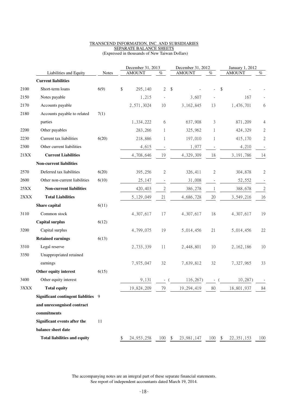#### TRANSCEND INFORMATION, INC. AND SUBSIDIARIES SEPARATE BALANCE SHEETS (Expressed in thousands of New Taiwan Dollars)

| (Expressed in thousands of New Taiwan Dollars) |  |
|------------------------------------------------|--|
|------------------------------------------------|--|

|      |                                     |              | December 31, 2013 |               |                                  | December 31, 2012 |               |              | January 1, 2012 |               |                  |
|------|-------------------------------------|--------------|-------------------|---------------|----------------------------------|-------------------|---------------|--------------|-----------------|---------------|------------------|
|      | Liabilities and Equity              | <b>Notes</b> |                   | <b>AMOUNT</b> | $\overline{\mathcal{O}_{\!\!O}}$ |                   | <b>AMOUNT</b> | $\%$         |                 | <b>AMOUNT</b> | $\%$             |
|      | <b>Current liabilities</b>          |              |                   |               |                                  |                   |               |              |                 |               |                  |
| 2100 | Short-term loans                    | 6(9)         | \$                | 295,140       | $\overline{2}$                   | \$                |               |              | \$              |               |                  |
| 2150 | Notes payable                       |              |                   | 1,215         |                                  |                   | 3,607         |              |                 | 167           |                  |
| 2170 | Accounts payable                    |              |                   | 2,571,3024    | 10                               |                   | 3, 162, 845   | 13           |                 | 1,476,701     | 6                |
| 2180 | Accounts payable to related         | 7(1)         |                   |               |                                  |                   |               |              |                 |               |                  |
|      | parties                             |              |                   | 1,334,222     | 6                                |                   | 637,908       | 3            |                 | 871,209       | 4                |
| 2200 | Other payables                      |              |                   | 283,266       | 1                                |                   | 325,962       | 1            |                 | 424,329       | $\sqrt{2}$       |
| 2230 | Current tax liabilities             | 6(20)        |                   | 218,886       | 1                                |                   | 197,010       | 1            |                 | 415,170       | $\sqrt{2}$       |
| 2300 | Other current liabilities           |              |                   | 4,615         |                                  |                   | 1,977         |              |                 | 4,210         |                  |
| 21XX | <b>Current Liabilities</b>          |              |                   | 4,708,646     | 19                               |                   | 4,329,309     | 18           |                 | 3, 191, 786   | 14               |
|      | Non-current liabilities             |              |                   |               |                                  |                   |               |              |                 |               |                  |
| 2570 | Deferred tax liabilities            | 6(20)        |                   | 395,256       | 2                                |                   | 326,411       | $\mathbf{2}$ |                 | 304,878       | $\mathbf{2}$     |
| 2600 | Other non-current liabilities       | 6(10)        |                   | 25,147        | $\overline{\phantom{a}}$         |                   | 31,008        |              |                 | 52,552        |                  |
| 25XX | Non-current liabilities             |              |                   | 420,403       | $\sqrt{2}$                       |                   | 386,278       | 1            |                 | 388,678       | $\boldsymbol{2}$ |
| 2XXX | <b>Total Liabilities</b>            |              |                   | 5,129,049     | 21                               |                   | 4,686,728     | $20\,$       |                 | 3,549,216     | 16               |
|      | Share capital                       | 6(11)        |                   |               |                                  |                   |               |              |                 |               |                  |
| 3110 | Common stock                        |              |                   | 4,307,617     | 17                               |                   | 4,307,617     | 18           |                 | 4,307,617     | 19               |
|      | <b>Capital surplus</b>              | 6(12)        |                   |               |                                  |                   |               |              |                 |               |                  |
| 3200 | Capital surplus                     |              |                   | 4,799,075     | 19                               |                   | 5,014,456     | 21           |                 | 5,014,456     | 22               |
|      | <b>Retained earnings</b>            | 6(13)        |                   |               |                                  |                   |               |              |                 |               |                  |
| 3310 | Legal reserve                       |              |                   | 2,733,339     | 11                               |                   | 2,448,801     | 10           |                 | 2, 162, 186   | 10               |
| 3350 | Unappropriated retained             |              |                   |               |                                  |                   |               |              |                 |               |                  |
|      | earnings                            |              |                   | 7,975,047     | 32                               |                   | 7,639,812     | 32           |                 | 7,327,965     | 33               |
|      | Other equity interest               | 6(15)        |                   |               |                                  |                   |               |              |                 |               |                  |
| 3400 | Other equity interest               |              |                   | 9,131         |                                  |                   | 116,267)      |              |                 | 10,287)       |                  |
| 3XXX | <b>Total equity</b>                 |              |                   | 19,824,209    | 79                               |                   | 19,294,419    | 80           |                 | 18,801,937    | 84               |
|      | Significant contingent liablities 9 |              |                   |               |                                  |                   |               |              |                 |               |                  |
|      | and unrecongnised contract          |              |                   |               |                                  |                   |               |              |                 |               |                  |
|      | commitments                         |              |                   |               |                                  |                   |               |              |                 |               |                  |
|      | Significant events after the        | 11           |                   |               |                                  |                   |               |              |                 |               |                  |
|      | balance sheet date                  |              |                   |               |                                  |                   |               |              |                 |               |                  |
|      | <b>Total liabilities and equity</b> |              | \$                | 24, 953, 258  | $100 - $$                        |                   | 23,981,147    | $100 - $$    |                 | 22, 351, 153  | 100              |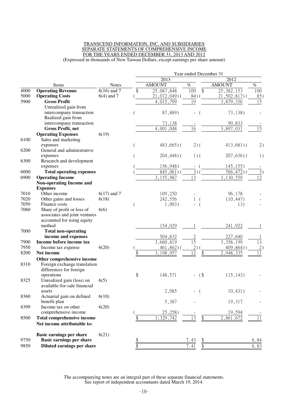#### TRANSCEND INFORMATION, INC. AND SUBSIDIARIES SEPARATE STATEMENTS OF COMPREHENSIVE INCOME FOR THE YEARS ENDED DECEMBER 31, 2013 AND 2012 (Expressed in thousands of New Taiwan Dollars, except earnings per share amount)

Year ended December 31 2013 2012 Items Notes AMOUNT  $\%$  AMOUNT  $\%$ 4000 **Operating Revenue** 6(16) and 7 \$ 25,087,848 100 \$ 25,382,153 100 5000 **Operating Costs** 6(4) and 7 (21,072,049) (84) (21,502,817) (85) 5900 **Gross Profit** 4,015,799 19 3,879,336 15 Unrealized gain from intercompany transaction (87,889) - (73,138) Realized gain from intercompany transaction 73,138 - 90,833 **Gross Profit, net** 4,001,048 16 3,897,031 15 **Operating Expenses** 6(19) 6100 Sales and marketing  $($  483,665) ( 2) ( 413,681) ( 2) 6200 General and administrative expenses ( 204,448) ( 201,636) ( 1) 6300 Research and development expenses (156,948) - (145,155) -6000 **Total operating expenses** ( $\frac{845,061}{3,155,987}$  ( $\frac{3}{13}$ ) ( $\frac{766,472}{3,130,559}$  ( $\frac{3}{12}$ )<br>6900 **Operating Income 6900 Operating Income** 3,155,987 13 3,130 **Non-operating Income and Expenses**<br>Other income 7010 Other income 6(17) and 7 109,250 - 96,178 -7020 Other gains and losses 6(18)  $(18)$  242,556 1 ( 110,447)<br>7050 Finance costs 1.003) - ( 13) 7050 Finance costs (1,003) - (13) -7060 Share of profit or loss of associates and joint ventures accounted for using equity method 6(6) 154,029 1 241,922 1 7000 **Total non-operating income and expenses** 504,832 2 227,640 **17900 Income before income tax** 3,660,819 15 3,358,199 13<br> **17950** Income tax expense 6(20) 140,862) 140,864) 140,864) 140,864) 140,864 Income tax expense  $6(20)$  (  $461,862$ ) (  $2)$  (  $409,864$ ) ( 2) 8200 **Net income** \$ 3,198,957 12 \$ 2,948,335 11 **Other comprehensive income** 8310 Foreign exchange translation differences for foreign<br>operations operations \$ 148,571 - (\$ 115,143) -8325 Unrealized gain (loss) on available-for-sale financial assets 6(5)  $2,085$  - ( 10,431) 8360 Actuarial gain on defined benefit plan 6(10) 5,387 - 19,317 - 8399 Income tax on other comprehensive income 6(20)  $(25,258)$  - 19,594 -8500 **Total comprehensive income**  $\frac{1}{8}$  3,329,742 13 \$ 2,861,672 11 **Net income attributable to: Basic earnings per share** 6(21) 9750 **Basic earnings per share \$** 7.43 \$ 6.84 **9850 Diluted earnings per share 8 6.83 6.83**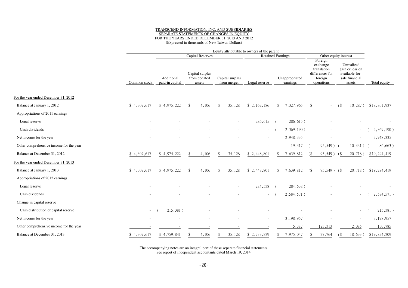# TRANSCEND INFORMATION, INC. AND SUBSIDIARIES SEPARATE STATEMENTS OF CHANGES IN EQUITYFOR THE YEARS ENDED DECEMBER 31, 2013 AND 2012 (Expressed in thousands of New Taiwan Dollars)

|                                         |              |                                                     |                                           | Equity attributable to owners of the parent |               |                            |                                                                                |                                                                             |              |  |  |
|-----------------------------------------|--------------|-----------------------------------------------------|-------------------------------------------|---------------------------------------------|---------------|----------------------------|--------------------------------------------------------------------------------|-----------------------------------------------------------------------------|--------------|--|--|
|                                         |              | <b>Capital Reserves</b><br><b>Retained Earnings</b> |                                           |                                             |               |                            |                                                                                | Other equity interest                                                       |              |  |  |
|                                         | Common stock | Additional<br>paid-in capital                       | Capital surplus<br>from donated<br>assets | Capital surplus<br>from merger              | Legal reserve | Unappropriated<br>earnings | Foreign<br>exchange<br>translation<br>differences for<br>foreign<br>operations | Unrealized<br>gain or loss on<br>available-for-<br>sale financial<br>assets | Total equity |  |  |
| For the year ended December 31, 2012    |              |                                                     |                                           |                                             |               |                            |                                                                                |                                                                             |              |  |  |
| Balance at January 1, 2012              | \$4,307,617  | \$4,975,222                                         | 4,106<br><sup>\$</sup>                    | 35,128<br>$\mathbf{\$}$                     | \$2,162,186   | 7,327,965<br>$\mathcal{S}$ | \$                                                                             | $10,287$ )<br>(                                                             | \$18,801,937 |  |  |
| Appropriations of 2011 earnings         |              |                                                     |                                           |                                             |               |                            |                                                                                |                                                                             |              |  |  |
| Legal reserve                           |              |                                                     |                                           |                                             | 286,615       | $286,615$ )<br>$\sqrt{ }$  |                                                                                |                                                                             |              |  |  |
| Cash dividends                          |              |                                                     |                                           |                                             | $\sim 100$    | 2,369,190)                 |                                                                                | $\sim$                                                                      | 2,369,190)   |  |  |
| Net income for the year                 |              |                                                     |                                           |                                             |               | 2,948,335                  |                                                                                | $\sim$                                                                      | 2,948,335    |  |  |
| Other comprehensive income for the year |              |                                                     |                                           |                                             |               | 19,317                     | 95,549)                                                                        | 10,431)                                                                     | 86,663       |  |  |
| Balance at December 31, 2012            | \$4,307,617  | \$4,975,222                                         | 4,106                                     | 35,128                                      | \$2,448,801   | 7,639,812                  | 95,549)                                                                        | 20,718)<br>68                                                               | \$19,294,419 |  |  |
| For the year ended December 31, 2013    |              |                                                     |                                           |                                             |               |                            |                                                                                |                                                                             |              |  |  |
| Balance at January 1, 2013              | \$4,307,617  | \$4,975,222                                         | 4,106<br><sup>\$</sup>                    | 35,128<br>$\mathbf{\$}$                     | \$2,448,801   | 7,639,812<br>-S            | $95,549$ ) (\$<br>$($ \$                                                       | $20,718$ )                                                                  | \$19,294,419 |  |  |
| Appropriations of 2012 earnings         |              |                                                     |                                           |                                             |               |                            |                                                                                |                                                                             |              |  |  |
| Legal reserve                           |              |                                                     |                                           |                                             | 284,538       | 284,538)                   |                                                                                |                                                                             |              |  |  |
| Cash dividends                          |              |                                                     |                                           |                                             |               | 2,584,571)                 |                                                                                |                                                                             | 2,584,571)   |  |  |
| Change in capital reserve               |              |                                                     |                                           |                                             |               |                            |                                                                                |                                                                             |              |  |  |
| Cash distribution of capital reserve    | $\sim$       | 215,381)                                            |                                           |                                             |               |                            |                                                                                | $\sim$                                                                      | 215,381)     |  |  |
| Net income for the year                 |              |                                                     |                                           |                                             |               | 3,198,957                  |                                                                                |                                                                             | 3,198,957    |  |  |
| Other comprehensive income for the year |              |                                                     |                                           |                                             |               | 5,387                      | 123,313                                                                        | 2,085                                                                       | 130,785      |  |  |
| Balance at December 31, 2013            | \$4,307,617  | \$4,759,841                                         | 4,106                                     | 35,128                                      | \$ 2,733,339  | 7,975,047                  | 27,764                                                                         | 18,633)                                                                     | \$19,824,209 |  |  |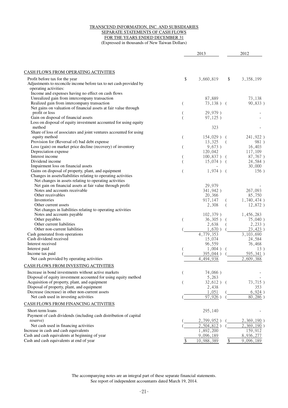#### TRANSCEND INFORMATION, INC. AND SUBSIDIARIES SEPARATE STATEMENTS OF CASH FLOWS FOR THE YEARS ENDED DECEMBER 31 (Expressed in thousands of New Taiwan Dollars)

|                                                                                              |                | 2013                     |               | 2012               |
|----------------------------------------------------------------------------------------------|----------------|--------------------------|---------------|--------------------|
| CASH FLOWS FROM OPERATING ACTIVITIES                                                         |                |                          |               |                    |
| Profit before tax for the year                                                               | \$             | 3,660,819                | \$            | 3,358,199          |
| Adjustments to reconcile income before tax to net cash provided by                           |                |                          |               |                    |
| operating activities:                                                                        |                |                          |               |                    |
| Income and expenses having no effect on cash flows                                           |                |                          |               |                    |
| Unrealized gain from intercompany transaction<br>Realized gain from intercompany transaction |                | 87,889<br>$73,138)$ (    |               | 73,138<br>90,833)  |
| Net gains on valuation of financial assets at fair value through                             | $\overline{(}$ |                          |               |                    |
| profit or loss                                                                               |                | 29,979)                  |               |                    |
| Gain on disposal of financial assets                                                         |                | 97,125)                  |               |                    |
| Loss on disposal of equity investment accounted for using equity                             |                |                          |               |                    |
| method                                                                                       |                | 323                      |               |                    |
| Share of loss of associates and joint ventures accounted for using                           |                |                          |               |                    |
| equity method                                                                                | $\overline{C}$ | $154,029$ ) (            |               | 241,922)           |
| Provision for (Reversal of) bad debt expense                                                 |                | 13,325                   | $\left($      | 981)               |
| Loss (gain) on market price decline (recovery) of inventory                                  | $\overline{ }$ | 9,673)                   |               | 16,403             |
| Depreciation expense<br>Interest income                                                      |                | 120,042<br>$100,837$ ) ( |               | 117,109<br>87,767) |
| Dividend income                                                                              |                | $15,074$ ) (             |               | 24,584)            |
| Impairment loss on financial assets                                                          |                |                          |               | 30,000             |
| Gains on disposal of property, plant, and equipment                                          |                | $1,974$ ) (              |               | 156)               |
| Changes in assets/liabilities relating to operating activities                               |                |                          |               |                    |
| Net changes in assets relating to operating activities                                       |                |                          |               |                    |
| Net gain on financial assets at fair value through profit                                    |                | 29,979                   |               |                    |
| Notes and accounts receivable                                                                |                | 341,942)                 |               | 267,093            |
| Other receivables                                                                            |                | 20,366                   |               | 85,750             |
| Inventories                                                                                  |                | 917,147                  |               | 1,740,474)         |
| Other current assets<br>Net changes in liabilities relating to operating activities          |                | 2,308                    |               | 12,872)            |
| Notes and accounts payable                                                                   |                | $102,379$ )              |               | 1,456,283          |
| Other payables                                                                               |                | $36,305$ )               |               | 75,040)            |
| Other current liabilities                                                                    |                | 2,638                    |               | 2,233)             |
| Other non-current liabilities                                                                |                | 1,670)                   |               | 23,423)            |
| Cash generated from operations                                                               |                | 4,779,353                |               | 3, 103, 690        |
| Cash dividend received                                                                       |                | 15,074                   |               | 24,584             |
| Interest received                                                                            |                | 96,559                   |               | 76,468             |
| Interest paid                                                                                |                | $1,004$ )                |               | 13)                |
| Income tax paid                                                                              |                | 395,044)                 |               | 595,341)           |
| Net cash provided by operating activities                                                    |                | 4,494,938                |               | 2,609,388          |
| CASH FLOWS FROM INVESTING ACTIVITIES                                                         |                |                          |               |                    |
| Increase in bond investments without active markets                                          | (              | 74,066)                  |               |                    |
| Disposal of equity investment accounted for using equity method                              |                | 5,263                    |               |                    |
| Acquisition of property, plant, and equipment                                                |                | $32,612$ ) (             |               | 73,715)            |
| Disposal of property, plant, and equipment                                                   |                | 2,438                    |               | 353                |
| Decrease (increase) in other non-current assets                                              |                | 1,051                    |               | 6,924)             |
| Net cash used in investing activities                                                        |                | 97,926                   |               | 80,286             |
| CASH FLOWS FROM FINANCING ACTIVITIES                                                         |                |                          |               |                    |
| Short-term loans                                                                             |                | 295,140                  |               |                    |
| Payment of cash dividends (including cash distribution of capital                            |                |                          |               |                    |
| reserve)                                                                                     |                | 2,799,952                |               | $2,369,190$ )      |
| Net cash used in financing activities                                                        |                | 2,504,812)               |               | 2,369,190)         |
| Increase in cash and cash equivalents                                                        |                | 1,892,200                |               | 159,912            |
| Cash and cash equivalents at beginning of year                                               |                | 9,096,189                |               | 8,936,277          |
| Cash and cash equivalents at end of year                                                     |                | 10,988,389               | $\frac{1}{2}$ | 9,096,189          |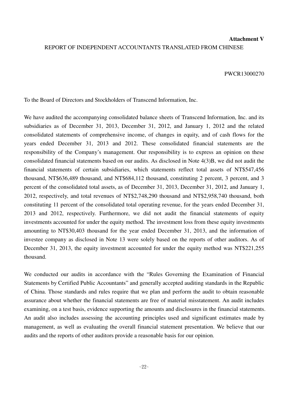# **Attachment V** REPORT OF INDEPENDENT ACCOUNTANTS TRANSLATED FROM CHINESE

#### PWCR13000270

To the Board of Directors and Stockholders of Transcend Information, Inc.

We have audited the accompanying consolidated balance sheets of Transcend Information, Inc. and its subsidiaries as of December 31, 2013, December 31, 2012, and January 1, 2012 and the related consolidated statements of comprehensive income, of changes in equity, and of cash flows for the years ended December 31, 2013 and 2012. These consolidated financial statements are the responsibility of the Company's management. Our responsibility is to express an opinion on these consolidated financial statements based on our audits. As disclosed in Note 4(3)B, we did not audit the financial statements of certain subsidiaries, which statements reflect total assets of NT\$547,456 thousand, NT\$636,489 thousand, and NT\$684,112 thousand, constituting 2 percent, 3 percent, and 3 percent of the consolidated total assets, as of December 31, 2013, December 31, 2012, and January 1, 2012, respectively, and total revenues of NT\$2,748,290 thousand and NT\$2,958,740 thousand, both constituting 11 percent of the consolidated total operating revenue, for the years ended December 31, 2013 and 2012, respectively. Furthermore, we did not audit the financial statements of equity investments accounted for under the equity method. The investment loss from these equity investments amounting to NT\$30,403 thousand for the year ended December 31, 2013, and the information of investee company as disclosed in Note 13 were solely based on the reports of other auditors. As of December 31, 2013, the equity investment accounted for under the equity method was NT\$221,255 thousand.

We conducted our audits in accordance with the "Rules Governing the Examination of Financial Statements by Certified Public Accountants" and generally accepted auditing standards in the Republic of China. Those standards and rules require that we plan and perform the audit to obtain reasonable assurance about whether the financial statements are free of material misstatement. An audit includes examining, on a test basis, evidence supporting the amounts and disclosures in the financial statements. An audit also includes assessing the accounting principles used and significant estimates made by management, as well as evaluating the overall financial statement presentation. We believe that our audits and the reports of other auditors provide a reasonable basis for our opinion.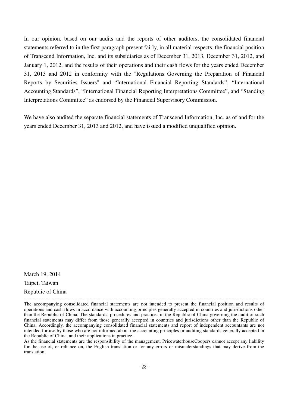In our opinion, based on our audits and the reports of other auditors, the consolidated financial statements referred to in the first paragraph present fairly, in all material respects, the financial position of Transcend Information, Inc. and its subsidiaries as of December 31, 2013, December 31, 2012, and January 1, 2012, and the results of their operations and their cash flows for the years ended December 31, 2013 and 2012 in conformity with the "Regulations Governing the Preparation of Financial Reports by Securities Issuers" and "International Financial Reporting Standards", "International Accounting Standards", "International Financial Reporting Interpretations Committee", and "Standing Interpretations Committee" as endorsed by the Financial Supervisory Commission.

We have also audited the separate financial statements of Transcend Information, Inc. as of and for the years ended December 31, 2013 and 2012, and have issued a modified unqualified opinion.

March 19, 2014 Taipei, Taiwan Republic of China

As the financial statements are the responsibility of the management, PricewaterhouseCoopers cannot accept any liability for the use of, or reliance on, the English translation or for any errors or misunderstandings that may derive from the translation.

<sup>-------------------------------------------------------------------------------------------------------------------------------------------------</sup> The accompanying consolidated financial statements are not intended to present the financial position and results of operations and cash flows in accordance with accounting principles generally accepted in countries and jurisdictions other than the Republic of China. The standards, procedures and practices in the Republic of China governing the audit of such financial statements may differ from those generally accepted in countries and jurisdictions other than the Republic of China. Accordingly, the accompanying consolidated financial statements and report of independent accountants are not intended for use by those who are not informed about the accounting principles or auditing standards generally accepted in the Republic of China, and their applications in practice.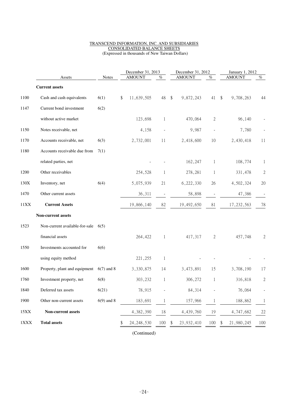#### TRANSCEND INFORMATION, INC. AND SUBSIDIARIES CONSOLIDATED BALANCE SHEETS (Expressed in thousands of New Taiwan Dollars)

|      |                                |              | December 31, 2013 |               |              | December 31, 2012          |               |              | January 1, 2012                      |                |  |  |
|------|--------------------------------|--------------|-------------------|---------------|--------------|----------------------------|---------------|--------------|--------------------------------------|----------------|--|--|
|      | Assets                         | <b>Notes</b> |                   | <b>AMOUNT</b> | %            |                            | <b>AMOUNT</b> | $\%$         | <b>AMOUNT</b>                        | $\%$           |  |  |
|      | <b>Current assets</b>          |              |                   |               |              |                            |               |              |                                      |                |  |  |
| 1100 | Cash and cash equivalents      | 6(1)         | \$                | 11,639,505    | 48           | $\boldsymbol{\mathsf{\$}}$ | 9,872,243     | 41           | $\sqrt[6]{\frac{1}{2}}$<br>9,708,263 | 44             |  |  |
| 1147 | Current bond investment        | 6(2)         |                   |               |              |                            |               |              |                                      |                |  |  |
|      | without active market          |              |                   | 123,698       | 1            |                            | 470,064       | $\mathbf{2}$ | 96,140                               |                |  |  |
| 1150 | Notes receivable, net          |              |                   | 4,158         |              |                            | 9,987         | $\centerdot$ | 7,780                                |                |  |  |
| 1170 | Accounts receivable, net       | 6(3)         |                   | 2,732,001     | 11           |                            | 2,418,600     | 10           | 2,430,418                            | 11             |  |  |
| 1180 | Accounts receivable due from   | 7(1)         |                   |               |              |                            |               |              |                                      |                |  |  |
|      | related parties, net           |              |                   |               |              |                            | 162,247       | 1            | 108,774                              | 1              |  |  |
| 1200 | Other receivables              |              |                   | 254,528       | 1            |                            | 278,281       | 1            | 331,478                              | $\overline{c}$ |  |  |
| 130X | Inventory, net                 | 6(4)         |                   | 5,075,939     | 21           |                            | 6,222,330     | 26           | 4,502,324                            | 20             |  |  |
| 1470 | Other current assets           |              |                   | 36,311        |              |                            | 58,898        |              | 47,386                               |                |  |  |
| 11XX | <b>Current Assets</b>          |              |                   | 19,866,140    | 82           |                            | 19,492,650    | 81           | 17, 232, 563                         | 78             |  |  |
|      | Non-current assets             |              |                   |               |              |                            |               |              |                                      |                |  |  |
| 1523 | Non-current available-for-sale | 6(5)         |                   |               |              |                            |               |              |                                      |                |  |  |
|      | financial assets               |              |                   | 264,422       | $\mathbf{1}$ |                            | 417,317       | $\mathbf{2}$ | 457,748                              | $\overline{c}$ |  |  |
| 1550 | Investments accounted for      | 6(6)         |                   |               |              |                            |               |              |                                      |                |  |  |
|      | using equity method            |              |                   | 221,255       | $\mathbf{1}$ |                            |               |              |                                      |                |  |  |
| 1600 | Property, plant and equipment  | $6(7)$ and 8 |                   | 3,330,875     | 14           |                            | 3,473,891     | 15           | 3,708,190                            | 17             |  |  |
| 1760 | Investment property, net       | 6(8)         |                   | 303,232       | 1            |                            | 306,272       | 1            | 316,818                              | $\sqrt{2}$     |  |  |
| 1840 | Deferred tax assets            | 6(21)        |                   | 78,915        |              |                            | 84,314        |              | 76,064                               | $\overline{a}$ |  |  |
| 1900 | Other non-current assets       | $6(9)$ and 8 |                   | 183,691       |              |                            | 157,966       |              | 188,862                              | $\mathbf{1}$   |  |  |
| 15XX | Non-current assets             |              |                   | 4,382,390     | 18           |                            | 4,439,760     | 19           | 4,747,682                            | 22             |  |  |
| 1XXX | <b>Total assets</b>            |              | \$                | 24, 248, 530  | 100          | \$                         | 23,932,410    | 100          | 21,980,245<br>\$                     | 100            |  |  |

(Continued)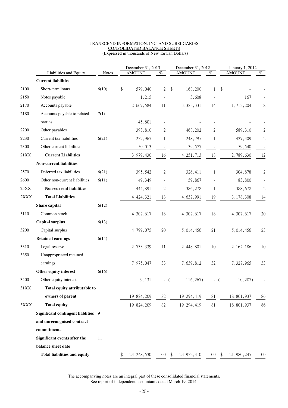#### TRANSCEND INFORMATION, INC. AND SUBSIDIARIES CONSOLIDATED BALANCE SHEETS (Expressed in thousands of New Taiwan Dollars)

| <b>AMOUNT</b><br><b>AMOUNT</b><br>$\%$<br>$\%$<br>Liabilities and Equity<br><b>Notes</b><br><b>Current liabilities</b><br>Short-term loans<br>\$<br>$\overline{2}$<br>168,200<br>\$<br>2100<br>6(10)<br>579,040<br>$\sqrt[6]{\frac{1}{2}}$<br>1<br>2150<br>Notes payable<br>1,215<br>3,608<br>Accounts payable<br>2170<br>2,669,584<br>3,323,331<br>14<br>11<br>2180<br>Accounts payable to related<br>7(1)<br>45,801<br>parties<br>2200<br>Other payables<br>393,810<br>2<br>468,202<br>2<br>Current tax liabilities<br>2230<br>6(21)<br>239,967<br>248,795<br>1<br>1<br>Other current liabilities<br>2300<br>50,013<br>39,577<br>21XX<br><b>Current Liabilities</b><br>3,979,430<br>4, 251, 713<br>18<br>16<br>Non-current liabilities<br>2570<br>Deferred tax liabilities<br>$\mathfrak{2}$<br>6(21)<br>326,411<br>395,542<br>1<br>2600<br>Other non-current liabilities<br>6(11) | <b>AMOUNT</b> | $\%$             |
|--------------------------------------------------------------------------------------------------------------------------------------------------------------------------------------------------------------------------------------------------------------------------------------------------------------------------------------------------------------------------------------------------------------------------------------------------------------------------------------------------------------------------------------------------------------------------------------------------------------------------------------------------------------------------------------------------------------------------------------------------------------------------------------------------------------------------------------------------------------------------------------|---------------|------------------|
|                                                                                                                                                                                                                                                                                                                                                                                                                                                                                                                                                                                                                                                                                                                                                                                                                                                                                      |               |                  |
|                                                                                                                                                                                                                                                                                                                                                                                                                                                                                                                                                                                                                                                                                                                                                                                                                                                                                      |               |                  |
|                                                                                                                                                                                                                                                                                                                                                                                                                                                                                                                                                                                                                                                                                                                                                                                                                                                                                      |               |                  |
|                                                                                                                                                                                                                                                                                                                                                                                                                                                                                                                                                                                                                                                                                                                                                                                                                                                                                      | 167           |                  |
|                                                                                                                                                                                                                                                                                                                                                                                                                                                                                                                                                                                                                                                                                                                                                                                                                                                                                      | 1,713,204     | 8                |
|                                                                                                                                                                                                                                                                                                                                                                                                                                                                                                                                                                                                                                                                                                                                                                                                                                                                                      |               |                  |
|                                                                                                                                                                                                                                                                                                                                                                                                                                                                                                                                                                                                                                                                                                                                                                                                                                                                                      |               |                  |
|                                                                                                                                                                                                                                                                                                                                                                                                                                                                                                                                                                                                                                                                                                                                                                                                                                                                                      | 589,310       | $\boldsymbol{2}$ |
|                                                                                                                                                                                                                                                                                                                                                                                                                                                                                                                                                                                                                                                                                                                                                                                                                                                                                      | 427,409       | $\mathbf{2}$     |
|                                                                                                                                                                                                                                                                                                                                                                                                                                                                                                                                                                                                                                                                                                                                                                                                                                                                                      | 59,540        |                  |
|                                                                                                                                                                                                                                                                                                                                                                                                                                                                                                                                                                                                                                                                                                                                                                                                                                                                                      | 2,789,630     | 12               |
|                                                                                                                                                                                                                                                                                                                                                                                                                                                                                                                                                                                                                                                                                                                                                                                                                                                                                      |               |                  |
|                                                                                                                                                                                                                                                                                                                                                                                                                                                                                                                                                                                                                                                                                                                                                                                                                                                                                      | 304,878       | $\boldsymbol{2}$ |
| 49,349<br>59,867<br>$\overline{\phantom{a}}$                                                                                                                                                                                                                                                                                                                                                                                                                                                                                                                                                                                                                                                                                                                                                                                                                                         | 83,800        |                  |
| $25XX$<br><b>Non-current liabilities</b><br>$\sqrt{2}$<br>444,891<br>386,278<br>1                                                                                                                                                                                                                                                                                                                                                                                                                                                                                                                                                                                                                                                                                                                                                                                                    | 388,678       | $\sqrt{2}$       |
| $2\mathbf{XXX}$<br><b>Total Liabilities</b><br>18<br>4,637,991<br>19<br>4,424,321                                                                                                                                                                                                                                                                                                                                                                                                                                                                                                                                                                                                                                                                                                                                                                                                    | 3,178,308     | 14               |
| Share capital<br>6(12)                                                                                                                                                                                                                                                                                                                                                                                                                                                                                                                                                                                                                                                                                                                                                                                                                                                               |               |                  |
| 3110<br>18<br>Common stock<br>4,307,617<br>18<br>4,307,617                                                                                                                                                                                                                                                                                                                                                                                                                                                                                                                                                                                                                                                                                                                                                                                                                           | 4,307,617     | $20\,$           |
| <b>Capital surplus</b><br>6(13)                                                                                                                                                                                                                                                                                                                                                                                                                                                                                                                                                                                                                                                                                                                                                                                                                                                      |               |                  |
| 3200<br>Capital surplus<br>4,799,075<br>20<br>5,014,456<br>21                                                                                                                                                                                                                                                                                                                                                                                                                                                                                                                                                                                                                                                                                                                                                                                                                        | 5,014,456     | 23               |
| <b>Retained earnings</b><br>6(14)                                                                                                                                                                                                                                                                                                                                                                                                                                                                                                                                                                                                                                                                                                                                                                                                                                                    |               |                  |
| 3310<br>Legal reserve<br>2,733,339<br>11<br>2,448,801<br>10                                                                                                                                                                                                                                                                                                                                                                                                                                                                                                                                                                                                                                                                                                                                                                                                                          | 2, 162, 186   | 10               |
| Unappropriated retained<br>3350                                                                                                                                                                                                                                                                                                                                                                                                                                                                                                                                                                                                                                                                                                                                                                                                                                                      |               |                  |
| 32<br>earnings<br>7,975,047<br>33<br>7,639,812                                                                                                                                                                                                                                                                                                                                                                                                                                                                                                                                                                                                                                                                                                                                                                                                                                       | 7,327,965     | 33               |
| Other equity interest<br>6(16)                                                                                                                                                                                                                                                                                                                                                                                                                                                                                                                                                                                                                                                                                                                                                                                                                                                       |               |                  |
| 3400<br>Other equity interest<br>9,131<br>116,267)<br>$\overline{\phantom{a}}$<br>$\overline{\phantom{a}}$                                                                                                                                                                                                                                                                                                                                                                                                                                                                                                                                                                                                                                                                                                                                                                           | 10,287)       |                  |
| Total equity attributable to<br>31XX                                                                                                                                                                                                                                                                                                                                                                                                                                                                                                                                                                                                                                                                                                                                                                                                                                                 |               |                  |
| owners of parent<br>19,824,209<br>82<br>19,294,419<br>81                                                                                                                                                                                                                                                                                                                                                                                                                                                                                                                                                                                                                                                                                                                                                                                                                             | 18,801,937    | 86               |
| <b>Total equity</b><br>82<br>3XXX<br>19,824,209<br>19, 294, 419<br>81                                                                                                                                                                                                                                                                                                                                                                                                                                                                                                                                                                                                                                                                                                                                                                                                                | 18,801,937    | 86               |
| Significant contingent liablities 9                                                                                                                                                                                                                                                                                                                                                                                                                                                                                                                                                                                                                                                                                                                                                                                                                                                  |               |                  |
| and unrecongnised contract                                                                                                                                                                                                                                                                                                                                                                                                                                                                                                                                                                                                                                                                                                                                                                                                                                                           |               |                  |
| commitments                                                                                                                                                                                                                                                                                                                                                                                                                                                                                                                                                                                                                                                                                                                                                                                                                                                                          |               |                  |
| Significant events after the<br>11                                                                                                                                                                                                                                                                                                                                                                                                                                                                                                                                                                                                                                                                                                                                                                                                                                                   |               |                  |
| balance sheet date                                                                                                                                                                                                                                                                                                                                                                                                                                                                                                                                                                                                                                                                                                                                                                                                                                                                   |               |                  |
| <b>Total liabilities and equity</b><br>$100 - $$<br>24, 248, 530<br>23,932,410<br>$100 \, \text{S}$<br>\$                                                                                                                                                                                                                                                                                                                                                                                                                                                                                                                                                                                                                                                                                                                                                                            | 21,980,245    | 100              |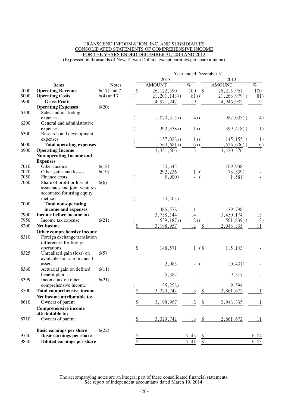#### TRANSCEND INFORMATION, INC. AND SUBSIDIARIES CONSOLIDATED STATEMENTS OF COMPREHENSIVE INCOME FOR THE YEARS ENDED DECEMBER 31, 2013 AND 2012 (Expressed in thousands of New Taiwan Dollars, except earnings per share amount)

|      |                                                         |               | Year ended December 31  |                        |                |                 |
|------|---------------------------------------------------------|---------------|-------------------------|------------------------|----------------|-----------------|
|      |                                                         |               | 2013                    |                        | 2012           |                 |
|      | Items                                                   | <b>Notes</b>  | <b>AMOUNT</b>           | $\%$                   | <b>AMOUNT</b>  | $\%$            |
| 4000 | <b>Operating Revenue</b>                                | $6(17)$ and 7 | \$<br>26, 122, 390      | $\overline{\$}$<br>100 | 26, 215, 961   | 100             |
| 5000 | <b>Operating Costs</b>                                  | $6(4)$ and 7  | $21, 201, 143$ ) (      | $81)$ (                | $21,268,979$ ( | 81)             |
| 5900 | <b>Gross Profit</b>                                     |               | 4,921,247               | $\overline{19}$        | 4,946,982      | 19              |
|      | <b>Operating Expenses</b>                               | 6(20)         |                         |                        |                |                 |
| 6100 | Sales and marketing                                     |               |                         |                        |                |                 |
|      | expenses                                                |               | $1,020,315$ (           | $4)$ (                 | $982,033$ )(   | 4)              |
| 6200 | General and administrative                              |               |                         |                        |                |                 |
| 6300 | expenses<br>Research and development                    |               | $392,338$ ) (           | $1)$ (                 | $399,418$ ) (  | 1)              |
|      | expenses                                                |               | $157,028$ ) (           | $1)$ (                 | $145, 155$ ) ( | 1)              |
| 6000 | <b>Total operating expenses</b>                         |               | $, 569, 681)$ (         | 6)                     | $,526,606$ )(  | 6)              |
| 6900 | <b>Operating Income</b>                                 |               | 3,351,566               | 13                     | 3,420,376      | $\overline{13}$ |
|      | <b>Non-operating Income and</b>                         |               |                         |                        |                |                 |
|      | <b>Expenses</b>                                         |               |                         |                        |                |                 |
| 7010 | Other income                                            | 6(18)         | 130,645                 |                        | 109,938        |                 |
| 7020 | Other gains and losses                                  | 6(19)         | 292,236                 | 1<br>$\left($          | 78,559)        |                 |
| 7050 | Finance costs                                           |               | 5,900                   | $\overline{ }$         | 1,581)         |                 |
| 7060 | Share of profit or loss of                              | 6(6)          |                         |                        |                |                 |
|      | associates and joint ventures                           |               |                         |                        |                |                 |
|      | accounted for using equity                              |               |                         |                        |                |                 |
|      | method                                                  |               | 30,403)                 |                        |                |                 |
| 7000 | <b>Total non-operating</b>                              |               |                         |                        |                |                 |
|      | income and expenses                                     |               | 386,578                 |                        | 29,798         |                 |
| 7900 | Income before income tax                                |               | $\overline{3,738,1}$ 44 | 14                     | 3,450,174      | $\overline{13}$ |
| 7950 | Income tax expense                                      | 6(21)         | $539,187$ ) (           | 2)                     | $501,839$ )    | 2)              |
| 8200 | Net income                                              |               | \$<br>3, 198, 957       | 12<br>\$               | 2,948,335      | 11              |
| 8310 | Other comprehensive income                              |               |                         |                        |                |                 |
|      | Foreign exchange translation<br>differences for foreign |               |                         |                        |                |                 |
|      | operations                                              |               | \$<br>148,571           | (\$<br>1               | 115, 143)      |                 |
| 8325 | Unrealized gain (loss) on                               | 6(5)          |                         |                        |                |                 |
|      | available-for-sale financial                            |               |                         |                        |                |                 |
|      | assets                                                  |               | 2,085                   | $\left($               | 10,431)        |                 |
| 8360 | Actuarial gain on defined                               | 6(11)         |                         |                        |                |                 |
|      | benefit plan                                            |               | 5,387                   |                        | 19,317         |                 |
| 8399 | Income tax on other                                     | 6(21)         |                         |                        |                |                 |
|      | comprehensive income                                    |               | 25,258)                 |                        | 19,594         |                 |
| 8500 | <b>Total comprehensive income</b>                       |               | \$<br>3,329,742         | 13<br>\$               | 2,861,672      | 11              |
|      | Net income attributable to:                             |               |                         |                        |                |                 |
| 8610 | Owners of parent                                        |               | \$<br>3,198,957         | 12<br>\$               | 2,948,335      | 11              |
|      | <b>Comprehensive income</b>                             |               |                         |                        |                |                 |
|      | attributable to:                                        |               |                         |                        |                |                 |
| 8710 | Owners of parent                                        |               | \$<br>3,329,742         | \$<br>13               | 2,861,672      | 11              |
|      | <b>Basic earnings per share</b>                         | 6(22)         |                         |                        |                |                 |
| 9750 | <b>Basic earnings per share</b>                         |               | \$                      | 7.43<br><u>\$</u>      |                | 6.84            |
| 9850 | Diluted earnings per share                              |               | \$                      | $\frac{1}{2}$<br>7.41  |                | 6.83            |
|      |                                                         |               |                         |                        |                |                 |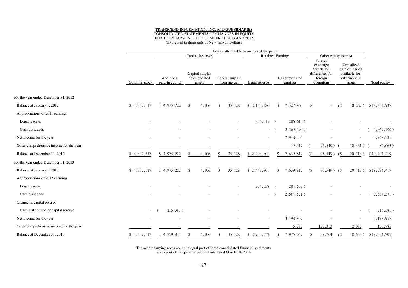#### TRANSCEND INFORMATION, INC. AND SUBSIDIARIES CONSOLIDATED STATEMENTS OF CHANGES IN EQUITY FOR THE YEARS ENDED DECEMBER 31, 2013 AND 2012(Expressed in thousands of New Taiwan Dollars)

|                                         |              |                               |                                           |                                | Equity attributable to owners of the parent |                            |                                                                                |                                                                             |              |  |
|-----------------------------------------|--------------|-------------------------------|-------------------------------------------|--------------------------------|---------------------------------------------|----------------------------|--------------------------------------------------------------------------------|-----------------------------------------------------------------------------|--------------|--|
|                                         |              |                               | <b>Capital Reserves</b>                   |                                | <b>Retained Earnings</b>                    |                            | Other equity interest                                                          |                                                                             |              |  |
|                                         | Common stock | Additional<br>paid-in capital | Capital surplus<br>from donated<br>assets | Capital surplus<br>from merger | Legal reserve                               | Unappropriated<br>earnings | Foreign<br>exchange<br>translation<br>differences for<br>foreign<br>operations | Unrealized<br>gain or loss on<br>available-for-<br>sale financial<br>assets | Total equity |  |
| For the year ended December 31, 2012    |              |                               |                                           |                                |                                             |                            |                                                                                |                                                                             |              |  |
| Balance at January 1, 2012              | \$4,307,617  | \$4,975,222                   | 4,106<br><sup>\$</sup>                    | 35,128<br>$\mathbf{\$}$        | \$2,162,186                                 | 7,327,965<br>$\mathcal{S}$ | \$                                                                             | $10,287$ )<br>(                                                             | \$18,801,937 |  |
| Appropriations of 2011 earnings         |              |                               |                                           |                                |                                             |                            |                                                                                |                                                                             |              |  |
| Legal reserve                           |              |                               |                                           |                                | 286,615                                     | $286,615$ )<br>$\sqrt{ }$  |                                                                                |                                                                             |              |  |
| Cash dividends                          |              |                               |                                           |                                | $\sim 100$                                  | 2,369,190)                 |                                                                                | $\sim$                                                                      | 2,369,190)   |  |
| Net income for the year                 |              |                               |                                           |                                |                                             | 2,948,335                  |                                                                                | $\sim$                                                                      | 2,948,335    |  |
| Other comprehensive income for the year |              |                               |                                           |                                |                                             | 19,317                     | 95,549)                                                                        | 10,431)                                                                     | 86,663       |  |
| Balance at December 31, 2012            | \$4,307,617  | \$4,975,222                   | 4,106                                     | 35,128                         | \$2,448,801                                 | 7,639,812                  | 95,549)                                                                        | 20,718)<br>68                                                               | \$19,294,419 |  |
| For the year ended December 31, 2013    |              |                               |                                           |                                |                                             |                            |                                                                                |                                                                             |              |  |
| Balance at January 1, 2013              | \$4,307,617  | \$4,975,222                   | 4,106<br><sup>\$</sup>                    | 35,128<br>$\mathbf{\$}$        | \$2,448,801                                 | 7,639,812<br>-S            | $95,549$ ) (\$<br>$($ \$                                                       | $20,718$ )                                                                  | \$19,294,419 |  |
| Appropriations of 2012 earnings         |              |                               |                                           |                                |                                             |                            |                                                                                |                                                                             |              |  |
| Legal reserve                           |              |                               |                                           |                                | 284,538                                     | 284,538)                   |                                                                                |                                                                             |              |  |
| Cash dividends                          |              |                               |                                           |                                |                                             | 2,584,571)                 |                                                                                |                                                                             | 2,584,571)   |  |
| Change in capital reserve               |              |                               |                                           |                                |                                             |                            |                                                                                |                                                                             |              |  |
| Cash distribution of capital reserve    | $\sim$       | 215,381)                      |                                           |                                |                                             |                            |                                                                                | $\sim$                                                                      | 215,381)     |  |
| Net income for the year                 |              |                               |                                           |                                |                                             | 3,198,957                  |                                                                                |                                                                             | 3,198,957    |  |
| Other comprehensive income for the year |              |                               |                                           |                                |                                             | 5,387                      | 123,313                                                                        | 2,085                                                                       | 130,785      |  |
| Balance at December 31, 2013            | \$4,307,617  | \$4,759,841                   | 4,106                                     | 35,128                         | \$ 2,733,339                                | 7,975,047                  | 27,764                                                                         | 18,633)                                                                     | \$19,824,209 |  |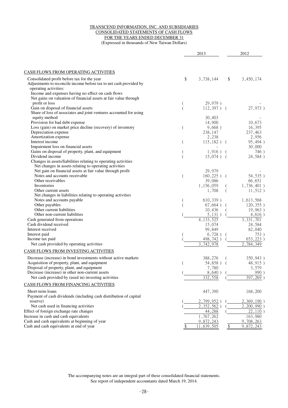#### TRANSCEND INFORMATION, INC. AND SUBSIDIARIES CONSOLIDATED STATEMENTS OF CASH FLOWS FOR THE YEARS ENDED DECEMBER 31 (Expressed in thousands of New Taiwan Dollars)

|                                                                                                                                                                                                                                                                         |                | 2013                                                    |              | 2012                                           |
|-------------------------------------------------------------------------------------------------------------------------------------------------------------------------------------------------------------------------------------------------------------------------|----------------|---------------------------------------------------------|--------------|------------------------------------------------|
|                                                                                                                                                                                                                                                                         |                |                                                         |              |                                                |
| <b>CASH FLOWS FROM OPERATING ACTIVITIES</b>                                                                                                                                                                                                                             |                |                                                         |              |                                                |
| Consolidated profit before tax for the year<br>Adjustments to reconcile income before tax to net cash provided by<br>operating activities:<br>Income and expenses having no effect on cash flows<br>Net gains on valuation of financial assets at fair value through    | \$             | 3,738,144                                               | \$           | 3,450,174                                      |
| profit or loss<br>Gain on disposal of financial assets<br>Share of loss of associates and joint ventures accounted for using                                                                                                                                            |                | 29,979)<br>$112,397$ ) (                                |              | 27,973)                                        |
| equity method<br>Provision for bad debt expense<br>Loss (gain) on market price decline (recovery) of inventory                                                                                                                                                          | $\overline{(}$ | 30,403<br>14,900<br>9,668)                              |              | 10,673<br>16,395                               |
| Depreciation expense<br>Amortization expense                                                                                                                                                                                                                            |                | 238,147<br>2,238                                        |              | 237,463<br>2,956                               |
| Interest income<br>Impairment loss on financial assets<br>Gains on disposal of property, plant, and equipment                                                                                                                                                           | $\overline{(}$ | $115,182$ ) (<br>$1,916$ ) (                            |              | 95,494)<br>30,000<br>746)                      |
| Dividend income<br>Changes in assets/liabilities relating to operating activities<br>Net changes in assets relating to operating activities                                                                                                                             |                | $15,074$ ) (                                            |              | 24,584)                                        |
| Net gain on financial assets at fair value through profit<br>Notes and accounts receivable<br>Other receivables<br>Inventories<br>Other current assets                                                                                                                  | (              | 29,979<br>$160,225$ ) (<br>39,086<br>1,156,059<br>1,708 |              | 54,535)<br>66,651<br>1,736,401)<br>$11,512$ )  |
| Net changes in liabilities relating to operating activities<br>Notes and accounts payable<br>Other payables<br>Other current liabilities<br>Other non-current liabilities                                                                                               |                | 610,339)<br>$67,664$ ) (<br>10,436<br>5,131)            |              | 1,613,568<br>120,355)<br>19,963)               |
| Cash generated from operations<br>Cash dividend received<br>Interest received                                                                                                                                                                                           |                | 4, 133, 525<br>15,074<br>99,849                         |              | 4,616)<br>3, 331, 701<br>24,584<br>82,040      |
| Interest paid<br>Income tax paid<br>Net cash provided by operating activities                                                                                                                                                                                           |                | 6,728)<br>498,742)<br>$\overline{3}$ , 742, 978         |              | 753)<br>$653,223$ )<br>2,784,349               |
| CASH FLOWS FROM INVESTING ACTIVITIES                                                                                                                                                                                                                                    |                |                                                         |              |                                                |
| Decrease (increase) in bond investments without active markets<br>Acquisition of property, plant, and equipment<br>Disposal of property, plant, and equipment<br>Decrease (increase) in other non-current assets<br>Net cash provided by (used in) investing activities |                | 388,276<br>54,858) (<br>7,780<br>8,640)<br>332,558      |              | 350,943)<br>48,915)<br>3,579<br>990<br>397,269 |
| CASH FLOWS FROM FINANCING ACTIVITIES                                                                                                                                                                                                                                    |                |                                                         |              |                                                |
| Short-term loans<br>Payment of cash dividends (including cash distribution of capital                                                                                                                                                                                   |                | 447,390                                                 |              | 168,200                                        |
| reserve)<br>Net cash used in financing activities<br>Effect of foreign exchange rate changes                                                                                                                                                                            |                | 2,799,952<br>$\overline{2,352,562}$ )<br>44,288         |              | 2,369,190)<br>2,200,990<br>22,110              |
| Increase in cash and cash equivalents<br>Cash and cash equivalents at beginning of year<br>Cash and cash equivalents at end of year                                                                                                                                     | \$             | 1,767,262<br>9,872,243<br>11,639,505                    | $\sqrt[6]{}$ | 163,980<br>9,708,263<br>9,872,243              |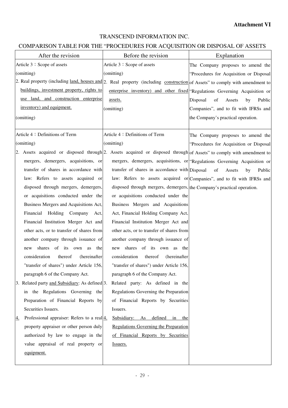## TRANSCEND INFORMATION INC.

## COMPARISON TABLE FOR THE "PROCEDURES FOR ACQUISITION OR DISPOSAL OF ASSETS

| After the revision                                                                                                           | Before the revision                                                     | Explanation                                                                 |
|------------------------------------------------------------------------------------------------------------------------------|-------------------------------------------------------------------------|-----------------------------------------------------------------------------|
| Article 3: Scope of assets                                                                                                   | Article 3: Scope of assets                                              | The Company proposes to amend the                                           |
| (omitting)                                                                                                                   | (omitting)                                                              | "Procedures for Acquisition or Disposal                                     |
| 2. Real property (including land, houses and 2. Real property (including construction of Assets" to comply with amendment to |                                                                         |                                                                             |
| buildings, investment property, rights to                                                                                    |                                                                         | enterprise inventory) and other fixed "Regulations Governing Acquisition or |
| use land, and construction enterprise                                                                                        | assets.                                                                 | Disposal<br>of<br>Assets<br>by<br>Public                                    |
| inventory) and equipment.                                                                                                    | (omitting)                                                              | Companies", and to fit with IFRSs and                                       |
| (omitting)                                                                                                                   |                                                                         | the Company's practical operation.                                          |
|                                                                                                                              |                                                                         |                                                                             |
| Article 4: Definitions of Term                                                                                               | Article 4: Definitions of Term                                          | The Company proposes to amend the                                           |
| (omitting)                                                                                                                   | (omitting)                                                              | "Procedures for Acquisition or Disposal                                     |
| 2. Assets acquired or disposed through 2. Assets acquired or disposed through of Assets" to comply with amendment to         |                                                                         |                                                                             |
| mergers, demergers, acquisitions, or                                                                                         |                                                                         | mergers, demergers, acquisitions, or "Regulations Governing Acquisition or  |
| transfer of shares in accordance with                                                                                        | transfer of shares in accordance with Disposal                          | of<br>Assets<br>Public<br>by                                                |
| law: Refers to assets acquired or                                                                                            |                                                                         | law: Refers to assets acquired or Companies", and to fit with IFRSs and     |
| disposed through mergers, demergers,                                                                                         | disposed through mergers, demergers, the Company's practical operation. |                                                                             |
| or acquisitions conducted under the                                                                                          | or acquisitions conducted under the                                     |                                                                             |
| Business Mergers and Acquisitions Act,                                                                                       | Business Mergers and Acquisitions                                       |                                                                             |
| Financial Holding Company Act,                                                                                               | Act, Financial Holding Company Act,                                     |                                                                             |
| Financial Institution Merger Act and                                                                                         | Financial Institution Merger Act and                                    |                                                                             |
| other acts, or to transfer of shares from                                                                                    | other acts, or to transfer of shares from                               |                                                                             |
| another company through issuance of                                                                                          | another company through issuance of                                     |                                                                             |
| shares of its own<br>the<br>as<br>new                                                                                        | shares of its own as the<br>new                                         |                                                                             |
| consideration<br>thereof<br>(hereinafter                                                                                     | consideration<br>thereof<br>(hereinafter                                |                                                                             |
| "transfer of shares") under Article 156,                                                                                     | "transfer of shares") under Article 156,                                |                                                                             |
| paragraph 6 of the Company Act.                                                                                              | paragraph 6 of the Company Act.                                         |                                                                             |
| 3. Related party and Subsidiary: As defined 3.                                                                               | Related party: As defined in the                                        |                                                                             |
| in the Regulations Governing the                                                                                             | Regulations Governing the Preparation                                   |                                                                             |
| Preparation of Financial Reports by                                                                                          | of Financial Reports by Securities                                      |                                                                             |
| Securities Issuers.                                                                                                          | Issuers.                                                                |                                                                             |
| Professional appraiser: Refers to a real $\frac{4}{1}$ .<br>4.                                                               | Subsidiary: As defined in the                                           |                                                                             |
| property appraiser or other person duly                                                                                      | Regulations Governing the Preparation                                   |                                                                             |
| authorized by law to engage in the                                                                                           | of Financial Reports by Securities                                      |                                                                             |
| value appraisal of real property or                                                                                          | Issuers.                                                                |                                                                             |
| equipment.                                                                                                                   |                                                                         |                                                                             |
|                                                                                                                              |                                                                         |                                                                             |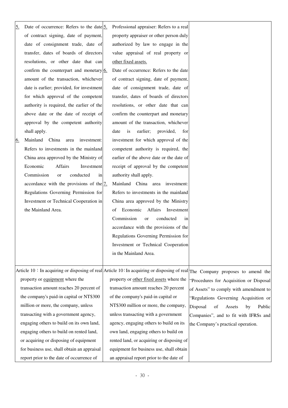| 5.        | Date of occurrence: Refers to the date $5$ .          | Professional appraiser: Refers to a real   |                                                                                                                                 |
|-----------|-------------------------------------------------------|--------------------------------------------|---------------------------------------------------------------------------------------------------------------------------------|
|           | of contract signing, date of payment,                 | property appraiser or other person duly    |                                                                                                                                 |
|           | date of consignment trade, date of                    | authorized by law to engage in the         |                                                                                                                                 |
|           | transfer, dates of boards of directors                | value appraisal of real property or        |                                                                                                                                 |
|           | resolutions, or other date that can                   | other fixed assets.                        |                                                                                                                                 |
|           | confirm the counterpart and monetary $6$ .            | Date of occurrence: Refers to the date     |                                                                                                                                 |
|           | amount of the transaction, whichever                  | of contract signing, date of payment,      |                                                                                                                                 |
|           | date is earlier; provided, for investment             | date of consignment trade, date of         |                                                                                                                                 |
|           | for which approval of the competent                   | transfer, dates of boards of directors     |                                                                                                                                 |
|           | authority is required, the earlier of the             | resolutions, or other date that can        |                                                                                                                                 |
|           | above date or the date of receipt of                  | confirm the counterpart and monetary       |                                                                                                                                 |
|           | approval by the competent authority                   | amount of the transaction, whichever       |                                                                                                                                 |
|           | shall apply.                                          | earlier;<br>provided,<br>date<br>is<br>for |                                                                                                                                 |
| <u>6.</u> | Mainland China<br>area<br>investment:                 | investment for which approval of the       |                                                                                                                                 |
|           | Refers to investments in the mainland                 | competent authority is required, the       |                                                                                                                                 |
|           | China area approved by the Ministry of                | earlier of the above date or the date of   |                                                                                                                                 |
|           | Economic<br><b>Affairs</b><br>Investment              | receipt of approval by the competent       |                                                                                                                                 |
|           | Commission<br>conducted<br>in<br><sub>or</sub>        | authority shall apply.                     |                                                                                                                                 |
|           | accordance with the provisions of the $\frac{7}{2}$ . | Mainland China area investment:            |                                                                                                                                 |
|           | Regulations Governing Permission for                  | Refers to investments in the mainland      |                                                                                                                                 |
|           | Investment or Technical Cooperation in                | China area approved by the Ministry        |                                                                                                                                 |
|           | the Mainland Area.                                    | Economic<br>Affairs<br>Investment<br>of    |                                                                                                                                 |
|           |                                                       | Commission<br>conducted<br>or<br>in        |                                                                                                                                 |
|           |                                                       | accordance with the provisions of the      |                                                                                                                                 |
|           |                                                       | Regulations Governing Permission for       |                                                                                                                                 |
|           |                                                       | Investment or Technical Cooperation        |                                                                                                                                 |
|           |                                                       | in the Mainland Area.                      |                                                                                                                                 |
|           |                                                       |                                            |                                                                                                                                 |
|           |                                                       |                                            | Article 10 : In acquiring or disposing of real Article 10 : In acquiring or disposing of real The Company proposes to amend the |
|           | property or equipment where the                       | property or other fixed assets where the   | "Procedures for Acquisition or Disposal                                                                                         |
|           | transaction amount reaches 20 percent of              | transaction amount reaches 20 percent      | of Assets" to comply with amendment to                                                                                          |
|           | the company's paid-in capital or NT\$300              | of the company's paid-in capital or        | "Regulations Governing Acquisition or                                                                                           |
|           | million or more, the company, unless                  | NT\$300 million or more, the company,      | Disposal<br>of<br>Public<br>Assets<br>by                                                                                        |
|           | transacting with a government agency,                 | unless transacting with a government       | Companies", and to fit with IFRSs and                                                                                           |
|           | engaging others to build on its own land,             | agency, engaging others to build on its    | the Company's practical operation.                                                                                              |
|           | engaging others to build on rented land,              | own land, engaging others to build on      |                                                                                                                                 |
|           | or acquiring or disposing of equipment                | rented land, or acquiring or disposing of  |                                                                                                                                 |
|           | for business use, shall obtain an appraisal           | equipment for business use, shall obtain   |                                                                                                                                 |
|           | report prior to the date of occurrence of             | an appraisal report prior to the date of   |                                                                                                                                 |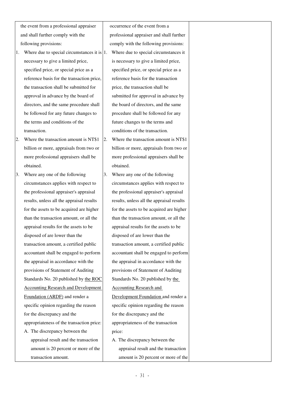the event from a professional appraiser and shall further comply with the following provisions:

- 1. Where due to special circumstances it is 1. Where due to special circumstances it necessary to give a limited price, specified price, or special price as a reference basis for the transaction price, the transaction shall be submitted for approval in advance by the board of directors, and the same procedure shall be followed for any future changes to the terms and conditions of the transaction.
- 2. Where the transaction amount is NT\$1 billion or more, appraisals from two or more professional appraisers shall be obtained.
- 3. Where any one of the following circumstances applies with respect to the professional appraiser's appraisal results, unless all the appraisal results for the assets to be acquired are higher than the transaction amount, or all the appraisal results for the assets to be disposed of are lower than the transaction amount, a certified public accountant shall be engaged to perform the appraisal in accordance with the provisions of Statement of Auditing Standards No. 20 published by the ROC Accounting Research and Development Foundation (ARDF) and render a specific opinion regarding the reason for the discrepancy and the appropriateness of the transaction price: A. The discrepancy between the appraisal result and the transaction amount is 20 percent or more of the

transaction amount.

occurrence of the event from a professional appraiser and shall further comply with the following provisions: is necessary to give a limited price, specified price, or special price as a reference basis for the transaction price, the transaction shall be submitted for approval in advance by the board of directors, and the same procedure shall be followed for any future changes to the terms and conditions of the transaction.

- 2. Where the transaction amount is NT\$1 billion or more, appraisals from two or more professional appraisers shall be obtained.
- 3. Where any one of the following circumstances applies with respect to the professional appraiser's appraisal results, unless all the appraisal results for the assets to be acquired are higher than the transaction amount, or all the appraisal results for the assets to be disposed of are lower than the transaction amount, a certified public accountant shall be engaged to perform the appraisal in accordance with the provisions of Statement of Auditing Standards No. 20 published by the Accounting Research and Development Foundation and render a specific opinion regarding the reason for the discrepancy and the appropriateness of the transaction price: A. The discrepancy between the appraisal result and the transaction

amount is 20 percent or more of the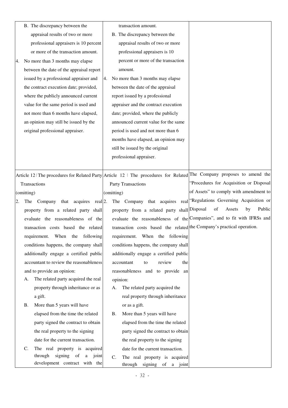|                                    |                | B. The discrepancy between the           |            | transaction amount.                                                    |                                                                                                                       |
|------------------------------------|----------------|------------------------------------------|------------|------------------------------------------------------------------------|-----------------------------------------------------------------------------------------------------------------------|
|                                    |                | appraisal results of two or more         |            | B. The discrepancy between the                                         |                                                                                                                       |
|                                    |                | professional appraisers is 10 percent    |            | appraisal results of two or more                                       |                                                                                                                       |
|                                    |                | or more of the transaction amount.       |            | professional appraisers is 10                                          |                                                                                                                       |
| 4.                                 |                | No more than 3 months may elapse         |            | percent or more of the transaction                                     |                                                                                                                       |
|                                    |                | between the date of the appraisal report |            | amount.                                                                |                                                                                                                       |
|                                    |                | issued by a professional appraiser and   | 4.         | No more than 3 months may elapse                                       |                                                                                                                       |
|                                    |                | the contract execution date; provided,   |            | between the date of the appraisal                                      |                                                                                                                       |
|                                    |                | where the publicly announced current     |            | report issued by a professional                                        |                                                                                                                       |
|                                    |                | value for the same period is used and    |            | appraiser and the contract execution                                   |                                                                                                                       |
|                                    |                | not more than 6 months have elapsed,     |            | date; provided, where the publicly                                     |                                                                                                                       |
|                                    |                | an opinion may still be issued by the    |            | announced current value for the same                                   |                                                                                                                       |
|                                    |                | original professional appraiser.         |            | period is used and not more than 6                                     |                                                                                                                       |
|                                    |                |                                          |            | months have elapsed, an opinion may                                    |                                                                                                                       |
|                                    |                |                                          |            | still be issued by the original                                        |                                                                                                                       |
|                                    |                |                                          |            | professional appraiser.                                                |                                                                                                                       |
|                                    |                |                                          |            |                                                                        |                                                                                                                       |
|                                    |                |                                          |            |                                                                        | Article 12: The procedures for Related Party Article 12: The procedures for Related The Company proposes to amend the |
|                                    |                | Transactions                             |            | Party Transactions                                                     | "Procedures for Acquisition or Disposal                                                                               |
|                                    | (omitting)     |                                          | (omitting) |                                                                        | of Assets" to comply with amendment to                                                                                |
| 2.                                 | The            | that acquires real 2.<br>Company         |            | The Company that acquires                                              | real "Regulations Governing Acquisition or                                                                            |
|                                    |                | property from a related party shall      |            | property from a related party shall Disposal                           | of<br>Assets<br>by<br>Public                                                                                          |
| evaluate the reasonableness of the |                |                                          |            |                                                                        | evaluate the reasonableness of the Companies", and to fit with IFRSs and                                              |
|                                    |                | transaction costs based the related      |            | transaction costs based the related the Company's practical operation. |                                                                                                                       |
|                                    |                | requirement. When the following          |            | requirement. When the following                                        |                                                                                                                       |
|                                    |                | conditions happens, the company shall    |            | conditions happens, the company shall                                  |                                                                                                                       |
|                                    |                | additionally engage a certified public   |            | additionally engage a certified public                                 |                                                                                                                       |
|                                    |                | accountant to review the reasonableness  |            | review<br>accountant<br>the<br>to                                      |                                                                                                                       |
|                                    |                | and to provide an opinion:               |            | reasonableness and to provide an                                       |                                                                                                                       |
|                                    | A.             | The related party acquired the real      |            | opinion:                                                               |                                                                                                                       |
|                                    |                | property through inheritance or as       | A.         | The related party acquired the                                         |                                                                                                                       |
|                                    |                | a gift.                                  |            | real property through inheritance                                      |                                                                                                                       |
|                                    | <b>B.</b>      | More than 5 years will have              |            | or as a gift.                                                          |                                                                                                                       |
|                                    |                | elapsed from the time the related        | Β.         | More than 5 years will have                                            |                                                                                                                       |
|                                    |                | party signed the contract to obtain      |            | elapsed from the time the related                                      |                                                                                                                       |
|                                    |                | the real property to the signing         |            | party signed the contract to obtain                                    |                                                                                                                       |
|                                    |                | date for the current transaction.        |            | the real property to the signing                                       |                                                                                                                       |
|                                    | $\mathbf{C}$ . | The real property is acquired            |            | date for the current transaction.                                      |                                                                                                                       |
|                                    |                | through<br>signing of<br>a joint         | C.         | The real property is acquired                                          |                                                                                                                       |
|                                    |                | development contract with the            |            | through signing of a joint                                             |                                                                                                                       |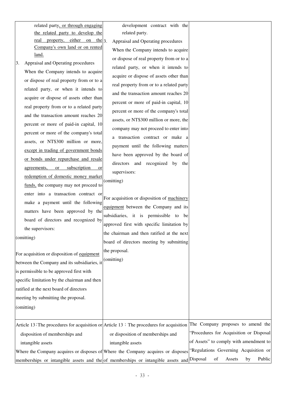| related party, or through engaging    | development contract with the            |
|---------------------------------------|------------------------------------------|
| the related party to develop the      | related party.                           |
| property, either on the $3$ .<br>real | Appraisal and Operating procedures       |
| Company's own land or on rented       | When the Company intends to acquire      |
| land.                                 | or dispose of real property from or to a |

3. Appraisal and Operating procedures When the Company intends to acquire or dispose of real property from or to a related party, or when it intends to acquire or dispose of assets other than real property from or to a related party and the transaction amount reaches 20 percent or more of paid-in capital, 10 percent or more of the company's total assets, or NT\$300 million or more, except in trading of government bonds or bonds under repurchase and resale agreements, or subscription or redemption of domestic money market funds, the company may not proceed to enter into a transaction contract or make a payment until the following matters have been approved by the board of directors and recognized by the supervisors: (omitting) For acquisition or disposition of equipment between the Company and its subsidiaries, it is permissible to be approved first with specific limitation by the chairman and then ratified at the next board of directors meeting by submitting the proposal. (omitting) of real property from or to a related party, or when it intends to acquire or dispose of assets other than real property from or to a related party and the transaction amount reaches 20 percent or more of paid-in capital, 10 percent or more of the company's total assets, or NT\$300 million or more, the company may not proceed to enter into a transaction contract or make a payment until the following matters have been approved by the board of directors and recognized by the supervisors: (omitting) For acquisition or disposition of machinery equipment between the Company and its subsidiaries, it is permissible to be approved first with specific limitation by the chairman and then ratified at the next board of directors meeting by submitting the proposal. (omitting) Article 13: The procedures for acquisition or  $\text{Article 13 : The procedures for acquisition}$ disposition of memberships and intangible assets Where the Company acquires or disposes of Where the Company acquires or disposes memberships or intangible assets and the of memberships or intangible assets and or disposition of memberships and intangible assets The Company proposes to amend the "Procedures for Acquisition or Disposal of Assets" to comply with amendment to "Regulations Governing Acquisition or Disposal of Assets by Public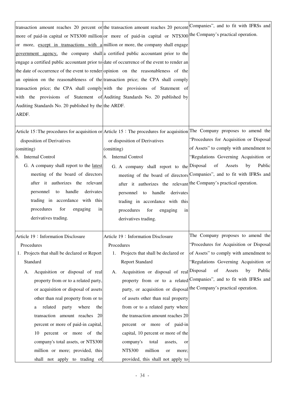| transaction amount reaches 20 percent or the transaction amount reaches 20 percent Companies", and to fit with IFRSs and<br>more of paid-in capital or NT\$300 million or more of paid-in capital or NT\$300 the Company's practical operation.<br>or more, except in transactions with a million or more, the company shall engage<br>government agency, the company shall a certified public accountant prior to the<br>engage a certified public accountant prior to date of occurrence of the event to render an<br>the date of occurrence of the event to render opinion on the reasonableness of the<br>an opinion on the reasonableness of the transaction price; the CPA shall comply<br>transaction price; the CPA shall comply with the provisions of Statement of<br>with the provisions of Statement of Auditing Standards No. 20 published by |                                                                                                                                                                                                                                                                                                                                                                                                                                                                              |                                                                                                                                                                                                                                                                                                                                                |
|------------------------------------------------------------------------------------------------------------------------------------------------------------------------------------------------------------------------------------------------------------------------------------------------------------------------------------------------------------------------------------------------------------------------------------------------------------------------------------------------------------------------------------------------------------------------------------------------------------------------------------------------------------------------------------------------------------------------------------------------------------------------------------------------------------------------------------------------------------|------------------------------------------------------------------------------------------------------------------------------------------------------------------------------------------------------------------------------------------------------------------------------------------------------------------------------------------------------------------------------------------------------------------------------------------------------------------------------|------------------------------------------------------------------------------------------------------------------------------------------------------------------------------------------------------------------------------------------------------------------------------------------------------------------------------------------------|
| Auditing Standards No. 20 published by the the ARDF.<br>ARDF.                                                                                                                                                                                                                                                                                                                                                                                                                                                                                                                                                                                                                                                                                                                                                                                              |                                                                                                                                                                                                                                                                                                                                                                                                                                                                              |                                                                                                                                                                                                                                                                                                                                                |
| Article 15: The procedures for acquisition or Article 15: The procedures for acquisition The Company proposes to amend the<br>disposition of Derivatives<br>(omitting)<br>Internal Control<br>6.<br>G. A company shall report to the latest<br>meeting of the board of directors<br>after it authorizes the relevant<br>handle<br>derivates<br>personnel to<br>trading in accordance with this<br>procedures<br>for<br>engaging<br>in<br>derivatives trading.                                                                                                                                                                                                                                                                                                                                                                                              | or disposition of Derivatives<br>(omitting)<br>Internal Control<br>6.<br>G. A company shall report to the Disposal<br>after it authorizes the relevant the Company's practical operation.<br>personnel to handle derivates<br>trading in accordance with this<br>procedures<br>for<br>engaging<br>in<br>derivatives trading.                                                                                                                                                 | "Procedures for Acquisition or Disposal<br>of Assets" to comply with amendment to<br>"Regulations Governing Acquisition or<br>of<br>Assets<br>by<br>Public<br>meeting of the board of directors Companies", and to fit with IFRSs and                                                                                                          |
| Article 19: Information Disclosure<br>Procedures<br>1. Projects that shall be declared or Report<br>Standard<br>Acquisition or disposal of real<br>А.<br>property from or to a related party,<br>or acquisition or disposal of assets<br>other than real property from or to<br>related<br>where<br>party<br>the<br>a<br>transaction amount reaches 20<br>percent or more of paid-in capital,<br>percent or more of the<br>10<br>company's total assets, or NT\$300<br>million or more; provided, this<br>shall not apply to trading of                                                                                                                                                                                                                                                                                                                    | Article 19: Information Disclosure<br>Procedures<br>Projects that shall be declared or<br>1.<br><b>Report Standard</b><br>Acquisition or disposal of real Disposal<br>А.<br>of assets other than real property<br>from or to a related party where<br>the transaction amount reaches 20<br>percent or more of paid-in<br>capital, 10 percent or more of the<br>company's<br>total<br>assets,<br>or<br>NT\$300<br>million<br>or<br>more;<br>provided, this shall not apply to | The Company proposes to amend the<br>"Procedures for Acquisition or Disposal<br>of Assets" to comply with amendment to<br>"Regulations Governing Acquisition or<br>of<br>Public<br>Assets<br>by<br>property from or to a related Companies", and to fit with IFRSs and<br>party, or acquisition or disposal the Company's practical operation. |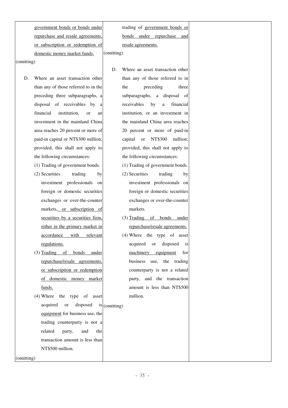government bonds or bonds under repurchase and resale agreements, or subscription or redemption of domestic money market funds. (omitting)

(omitting)

D. Where an asset transaction other than any of those referred to in the preceding three subparagraphs, a disposal of receivables by a financial institution, or an investment in the mainland China area reaches 20 percent or more of paid-in capital or NT\$300 million; provided, this shall not apply to the following circumstances:

(1) Trading of government bonds.

- (2) Securities trading by investment professionals on foreign or domestic securities exchanges or over-the-counter markets, or subscription of securities by a securities firm, either in the primary market in accordance with relevant regulations.
- (3) Trading of bonds under repurchase/resale agreements, or subscription or redemption of domestic money market funds.
- (4) Where the type of asset acquired or disposed is  $(\text{omitting})$ equipment for business use, the trading counterparty is not a related party, and the transaction amount is less than NT\$500 million.

(omitting)

trading of government bonds or bonds under repurchase and resale agreements.

- D. Where an asset transaction other than any of those referred to in the preceding three subparagraphs, a disposal of receivables by a financial institution, or an investment in the mainland China area reaches 20 percent or more of paid-in capital or NT\$300 million; provided, this shall not apply to the following circumstances:
	- (1) Trading of government bonds.
	- (2) Securities trading by investment professionals on foreign or domestic securities exchanges or over-the-counter markets.
	- (3) Trading of bonds under repurchase/resale agreements.
	- (4) Where the type of asset acquired or disposed is machinery equipment for business use, the trading counterparty is not a related party, and the transaction amount is less than NT\$500 million.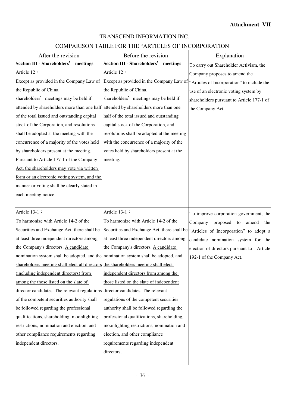# TRANSCEND INFORMATION INC.

# COMPARISON TABLE FOR THE "ARTICLES OF INCORPORATION

| After the revision                                                                  | Before the revision                                                                 | Explanation                               |
|-------------------------------------------------------------------------------------|-------------------------------------------------------------------------------------|-------------------------------------------|
| <b>Section III - Shareholders'</b><br>meetings                                      | <b>Section III - Shareholders'</b><br>meetings                                      | To carry out Shareholder Activism, the    |
| Article 12:                                                                         | Article 12:                                                                         | Company proposes to amend the             |
| Except as provided in the Company Law of                                            | Except as provided in the Company Law of "Articles of Incorporation" to include the |                                           |
| the Republic of China,                                                              | the Republic of China,                                                              | use of an electronic voting system by     |
| shareholders' meetings may be held if                                               | shareholders' meetings may be held if                                               | shareholders pursuant to Article 177-1 of |
| attended by shareholders more than one half attended by shareholders more than one  |                                                                                     | the Company Act.                          |
| of the total issued and outstanding capital                                         | half of the total issued and outstanding                                            |                                           |
| stock of the Corporation, and resolutions                                           | capital stock of the Corporation, and                                               |                                           |
| shall be adopted at the meeting with the                                            | resolutions shall be adopted at the meeting                                         |                                           |
| concurrence of a majority of the votes held                                         | with the concurrence of a majority of the                                           |                                           |
| by shareholders present at the meeting.                                             | votes held by shareholders present at the                                           |                                           |
| Pursuant to Article 177-1 of the Company                                            | meeting.                                                                            |                                           |
| Act, the shareholders may vote via written                                          |                                                                                     |                                           |
| form or an electronic voting system, and the                                        |                                                                                     |                                           |
| manner or voting shall be clearly stated in                                         |                                                                                     |                                           |
| each meeting notice.                                                                |                                                                                     |                                           |
|                                                                                     |                                                                                     |                                           |
| Article 13-1 :                                                                      | Article 13-1:                                                                       | To improve corporation government, the    |
| To harmonize with Article 14-2 of the                                               | To harmonize with Article 14-2 of the                                               | Company<br>proposed to<br>amend<br>the    |
| Securities and Exchange Act, there shall be                                         | Securities and Exchange Act, there shall be                                         | "Articles of Incorporation" to adopt a    |
| at least three independent directors among                                          | at least three independent directors among                                          | candidate nomination system for the       |
| the Company's directors. A candidate                                                | the Company's directors. A candidate                                                | election of directors pursuant to Article |
| nomination system shall be adopted, and the nomination system shall be adopted, and |                                                                                     | 192-1 of the Company Act.                 |
| shareholders meeting shall elect all directors the shareholders meeting shall elect |                                                                                     |                                           |
| (including independent directors) from                                              | independent directors from among the                                                |                                           |
| among the those listed on the slate of                                              | those listed on the slate of independent                                            |                                           |
| director candidates. The relevant regulations director candidates. The relevant     |                                                                                     |                                           |
| of the competent securities authority shall                                         | regulations of the competent securities                                             |                                           |
| be followed regarding the professional                                              | authority shall be followed regarding the                                           |                                           |
| qualifications, shareholding, moonlighting                                          | professional qualifications, shareholding,                                          |                                           |
| restrictions, nomination and election, and                                          | moonlighting restrictions, nomination and                                           |                                           |
| other compliance requirements regarding                                             | election, and other compliance                                                      |                                           |
| independent directors.                                                              | requirements regarding independent                                                  |                                           |
|                                                                                     | directors.                                                                          |                                           |
|                                                                                     |                                                                                     |                                           |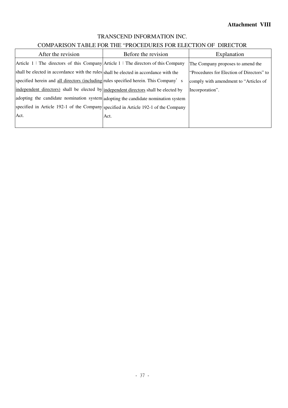# TRANSCEND INFORMATION INC.

# COMPARISON TABLE FOR THE "PROCEDURES FOR ELECTION OF DIRECTOR

| After the revision                                                                    | Before the revision | Explanation                               |
|---------------------------------------------------------------------------------------|---------------------|-------------------------------------------|
| Article $1:$ The directors of this Company Article 1: The directors of this Company   |                     | The Company proposes to amend the         |
| shall be elected in accordance with the rules shall be elected in accordance with the |                     | "Procedures for Election of Directors" to |
| specified herein and all directors (including rules specified herein. This Company'   | <sub>S</sub>        | comply with amendment to "Articles of"    |
| independent directors) shall be elected by independent directors shall be elected by  |                     | Incorporation".                           |
| adopting the candidate nomination system adopting the candidate nomination system     |                     |                                           |
| specified in Article 192-1 of the Company specified in Article 192-1 of the Company   |                     |                                           |
| Act.                                                                                  | Act.                |                                           |
|                                                                                       |                     |                                           |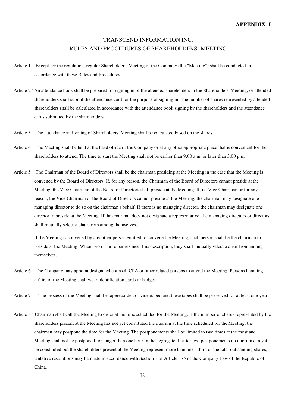# TRANSCEND INFORMATION INC. RULES AND PROCEDURES OF SHAREHOLDERS' MEETING

- Article 1: Except for the regulation, regular Shareholders' Meeting of the Company (the "Meeting") shall be conducted in accordance with these Rules and Procedures.
- Article 2: An attendance book shall be prepared for signing in of the attended shareholders in the Shareholders' Meeting, or attended shareholders shall submit the attendance card for the purpose of signing in. The number of shares represented by attended shareholders shall be calculated in accordance with the attendance book signing by the shareholders and the attendance cards submitted by the shareholders.
- Article 3: The attendance and voting of Shareholders' Meeting shall be calculated based on the shares.
- Article 4:The Meeting shall be held at the head office of the Company or at any other appropriate place that is convenient for the shareholders to attend. The time to start the Meeting shall not be earlier than 9:00 a.m. or later than 3:00 p.m.
- Article 5: The Chairman of the Board of Directors shall be the chairman presiding at the Meeting in the case that the Meeting is convened by the Board of Directors. If, for any reason, the Chairman of the Board of Directors cannot preside at the Meeting, the Vice Chairman of the Board of Directors shall preside at the Meeting. If, no Vice Chairman or for any reason, the Vice Chairman of the Board of Directors cannot preside at the Meeting, the chairman may designate one managing director to do so on the chairman's behalf. If there is no managing director, the chairman may designate one director to preside at the Meeting. If the chairman does not designate a representative, the managing directors or directors shall mutually select a chair from among themselves..

If the Meeting is convened by any other person entitled to convene the Meeting, such person shall be the chairman to preside at the Meeting. When two or more parties meet this description, they shall mutually select a chair from among themselves.

- Article 6: The Company may appoint designated counsel, CPA or other related persons to attend the Meeting. Persons handling affairs of the Meeting shall wear identification cards or badges.
- Article 7: The process of the Meeting shall be taperecorded or videotaped and these tapes shall be preserved for at least one year.
- Article 8: Chairman shall call the Meeting to order at the time scheduled for the Meeting. If the number of shares represented by the shareholders present at the Meeting has not yet constituted the quorum at the time scheduled for the Meeting, the chairman may postpone the time for the Meeting. The postponements shall be limited to two times at the most and Meeting shall not be postponed for longer than one hour in the aggregate. If after two postponements no quorum can yet be constituted but the shareholders present at the Meeting represent more than one - third of the total outstanding shares, tentative resolutions may be made in accordance with Section 1 of Article 175 of the Company Law of the Republic of China.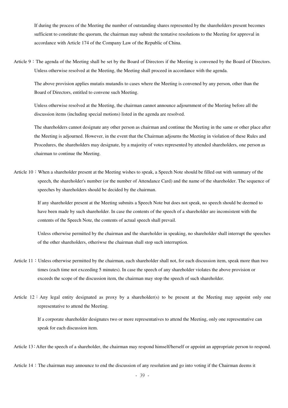If during the process of the Meeting the number of outstanding shares represented by the shareholders present becomes sufficient to constitute the quorum, the chairman may submit the tentative resolutions to the Meeting for approval in accordance with Article 174 of the Company Law of the Republic of China.

Article 9: The agenda of the Meeting shall be set by the Board of Directors if the Meeting is convened by the Board of Directors. Unless otherwise resolved at the Meeting, the Meeting shall proceed in accordance with the agenda.

The above provision applies mutatis mutandis to cases where the Meeting is convened by any person, other than the Board of Directors, entitled to convene such Meeting.

Unless otherwise resolved at the Meeting, the chairman cannot announce adjournment of the Meeting before all the discussion items (including special motions) listed in the agenda are resolved.

The shareholders cannot designate any other person as chairman and continue the Meeting in the same or other place after the Meeting is adjourned. However, in the event that the Chairman adjourns the Meeting in violation of these Rules and Procedures, the shareholders may designate, by a majority of votes represented by attended shareholders, one person as chairman to continue the Meeting.

Article 10: When a shareholder present at the Meeting wishes to speak, a Speech Note should be filled out with summary of the speech, the shareholder's number (or the number of Attendance Card) and the name of the shareholder. The sequence of speeches by shareholders should be decided by the chairman.

If any shareholder present at the Meeting submits a Speech Note but does not speak, no speech should be deemed to have been made by such shareholder. In case the contents of the speech of a shareholder are inconsistent with the contents of the Speech Note, the contents of actual speech shall prevail.

Unless otherwise permitted by the chairman and the shareholder in speaking, no shareholder shall interrupt the speeches of the other shareholders, otheriwse the chairman shall stop such interruption.

- Article 11: Unless otherwise permitted by the chairman, each shareholder shall not, for each discussion item, speak more than two times (each time not exceeding 5 minutes). In case the speech of any shareholder violates the above provision or exceeds the scope of the discussion item, the chairman may stop the speech of such shareholder.
- Article  $12:$  Any legal entity designated as proxy by a shareholder(s) to be present at the Meeting may appoint only one representative to attend the Meeting.

If a corporate shareholder designates two or more representatives to attend the Meeting, only one representative can speak for each discussion item.

Article 13: After the speech of a shareholder, the chairman may respond himself/herself or appoint an appropriate person to respond.

Article 14: The chairman may announce to end the discussion of any resolution and go into voting if the Chairman deems it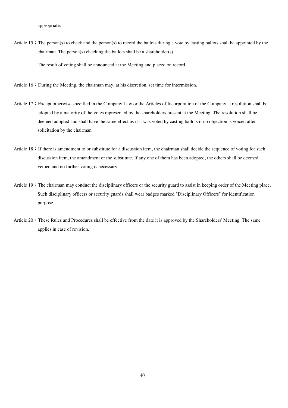appropriate.

Article 15: The person(s) to check and the person(s) to record the ballots during a vote by casting ballots shall be appointed by the chairman. The person(s) checking the ballots shall be a shareholder(s).

The result of voting shall be announced at the Meeting and placed on record.

- Article  $16:$  During the Meeting, the chairman may, at his discretion, set time for intermission.
- Article 17: Except otherwise specified in the Company Law or the Articles of Incorporation of the Company, a resolution shall be adopted by a majority of the votes represented by the shareholders present at the Meeting. The resolution shall be deemed adopted and shall have the same effect as if it was voted by casting ballots if no objection is voiced after solicitation by the chairman.
- Article 18: If there is amendment to or substitute for a discussion item, the chairman shall decide the sequence of voting for such discussion item, the amendment or the substitute. If any one of them has been adopted, the others shall be deemed vetoed and no further voting is necessary.
- Article 19: The chairman may conduct the disciplinary officers or the security guard to assist in keeping order of the Meeting place. Such disciplinary officers or security guards shall wear badges marked "Disciplinary Officers" for identification purpose.
- Article 20: These Rules and Procedures shall be effective from the date it is approved by the Shareholders' Meeting. The same applies in case of revision.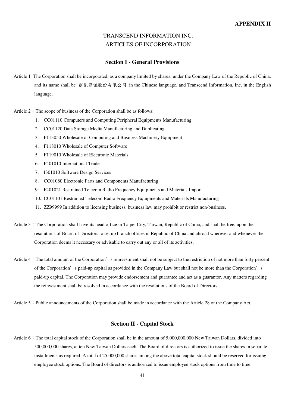# TRANSCEND INFORMATION INC. ARTICLES OF INCORPORATION

#### **Section I - General Provisions**

Article 1:The Corporation shall be incorporated, as a company limited by shares, under the Company Law of the Republic of China, and its name shall be 創見資訊股份有限公司 in the Chinese language, and Transcend Information, Inc. in the English language.

Article  $2:$  The scope of business of the Corporation shall be as follows:

- 1. CC01110 Computers and Computing Peripheral Equipments Manufacturing
- 2. CC01120 Data Storage Media Manufacturing and Duplicating
- 3. F113050 Wholesale of Computing and Business Machinery Equipment
- 4. F118010 Wholesale of Computer Software
- 5. F119010 Wholesale of Electronic Materials
- 6. F401010 International Trade
- 7. I301010 Software Design Services
- 8. CC01080 Electronic Parts and Components Manufacturing
- 9. F401021 Restrained Telecom Radio Frequency Equipments and Materials Import
- 10. CC01101 Restrained Telecom Radio Frequency Equipments and Materials Manufacturing
- 11. ZZ99999 In addition to licensing business, business law may prohibit or restrict non-business.
- Article 3: The Corporation shall have its head office in Taipei City, Taiwan, Republic of China, and shall be free, upon the resolutions of Board of Directors to set up branch offices in Republic of China and abroad wherever and whenever the Corporation deems it necessary or advisable to carry out any or all of its activities.
- Article 4: The total amount of the Corporation's reinvestment shall not be subject to the restriction of not more than forty percent of the Corporation's paid-up capital as provided in the Company Law but shall not be more than the Corporation's paid-up capital. The Corporation may provide endorsement and guarantee and act as a guarantor. Any matters regarding the reinvestment shall be resolved in accordance with the resolutions of the Board of Directors.
- Article 5: Public announcements of the Corporation shall be made in accordance with the Article 28 of the Company Act.

#### **Section II - Capital Stock**

Article 6: The total capital stock of the Corporation shall be in the amount of 5,000,000,000 New Taiwan Dollars, divided into 500,000,000 shares, at ten New Taiwan Dollars each. The Board of directors is authorized to issue the shares in separate installments as required. A total of 25,000,000 shares among the above total capital stock should be reserved for issuing employee stock options. The Board of directors is authorized to issue employee stock options from time to time.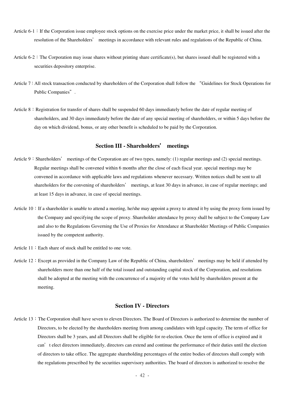- Article  $6-1$ : If the Corporation issue employee stock options on the exercise price under the market price, it shall be issued after the resolution of the Shareholders' meetings in accordance with relevant rules and regulations of the Republic of China.
- Article  $6-2$ : The Corporation may issue shares without printing share certificate(s), but shares issued shall be registered with a securities depository enterprise.
- Article 7: All stock transaction conducted by shareholders of the Corporation shall follow the "Guidelines for Stock Operations for Public Companies".
- Article  $8:$  Registration for transfer of shares shall be suspended 60 days immediately before the date of regular meeting of shareholders, and 30 days immediately before the date of any special meeting of shareholders, or within 5 days before the day on which dividend, bonus, or any other benefit is scheduled to be paid by the Corporation.

#### **Section III - Shareholders**' **meetings**

- Article 9: Shareholders' meetings of the Corporation are of two types, namely: (1) regular meetings and (2) special meetings. Regular meetings shall be convened within 6 months after the close of each fiscal year. special meetings may be convened in accordance with applicable laws and regulations whenever necessary. Written notices shall be sent to all shareholders for the convening of shareholders' meetings, at least 30 days in advance, in case of regular meetings; and at least 15 days in advance, in case of special meetings.
- Article 10: If a shareholder is unable to attend a meeting, he/she may appoint a proxy to attend it by using the proxy form issued by the Company and specifying the scope of proxy. Shareholder attendance by proxy shall be subject to the Company Law and also to the Regulations Governing the Use of Proxies for Attendance at Shareholder Meetings of Public Companies issued by the competent authority.
- Article  $11:$  Each share of stock shall be entitled to one vote.
- Article 12: Except as provided in the Company Law of the Republic of China, shareholders' meetings may be held if attended by shareholders more than one half of the total issued and outstanding capital stock of the Corporation, and resolutions shall be adopted at the meeting with the concurrence of a majority of the votes held by shareholders present at the meeting.

#### **Section IV - Directors**

Article 13: The Corporation shall have seven to eleven Directors. The Board of Directors is authorized to determine the number of Directors, to be elected by the shareholders meeting from among candidates with legal capacity. The term of office for Directors shall be 3 years, and all Directors shall be eligible for re-election. Once the term of office is expired and it can't elect directors immediately, directors can extend and continue the performance of their duties until the election of directors to take office. The aggregate shareholding percentages of the entire bodies of directors shall comply with the regulations prescribed by the securities supervisory authorities. The board of directors is authorized to resolve the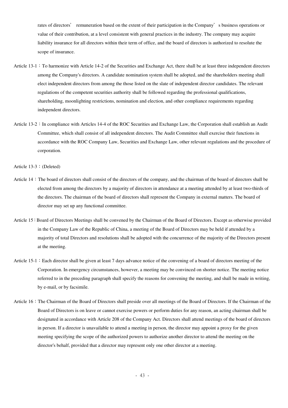rates of directors' remuneration based on the extent of their participation in the Company's business operations or value of their contribution, at a level consistent with general practices in the industry. The company may acquire liability insurance for all directors within their term of office, and the board of directors is authorized to resolute the scope of insurance.

- Article 13-1: To harmonize with Article 14-2 of the Securities and Exchange Act, there shall be at least three independent directors among the Company's directors. A candidate nomination system shall be adopted, and the shareholders meeting shall elect independent directors from among the those listed on the slate of independent director candidates. The relevant regulations of the competent securities authority shall be followed regarding the professional qualifications, shareholding, moonlighting restrictions, nomination and election, and other compliance requirements regarding independent directors.
- Article 13-2: In compliance with Articles 14-4 of the ROC Securities and Exchange Law, the Corporation shall establish an Audit Committee, which shall consist of all independent directors. The Audit Committee shall exercise their functions in accordance with the ROC Company Law, Securities and Exchange Law, other relevant regulations and the procedure of corporation.

Article 13-3:(Deleted)

- Article 14: The board of directors shall consist of the directors of the company, and the chairman of the board of directors shall be elected from among the directors by a majority of directors in attendance at a meeting attended by at least two-thirds of the directors. The chairman of the board of directors shall represent the Company in external matters. The board of director may set up any functional committee.
- Article 15: Board of Directors Meetings shall be convened by the Chairman of the Board of Directors. Except as otherwise provided in the Company Law of the Republic of China, a meeting of the Board of Directors may be held if attended by a majority of total Directors and resolutions shall be adopted with the concurrence of the majority of the Directors present at the meeting.
- Article 15-1: Each director shall be given at least 7 days advance notice of the convening of a board of directors meeting of the Corporation. In emergency circumstances, however, a meeting may be convinced on shorter notice. The meeting notice referred to in the preceding paragraph shall specify the reasons for convening the meeting, and shall be made in writing, by e-mail, or by facsimile.
- Article 16:The Chairman of the Board of Directors shall preside over all meetings of the Board of Directors. If the Chairman of the Board of Directors is on leave or cannot exercise powers or perform duties for any reason, an acting chairman shall be designated in accordance with Article 208 of the Company Act. Directors shall attend meetings of the board of directors in person. If a director is unavailable to attend a meeting in person, the director may appoint a proxy for the given meeting specifying the scope of the authorized powers to authorize another director to attend the meeting on the director's behalf, provided that a director may represent only one other director at a meeting.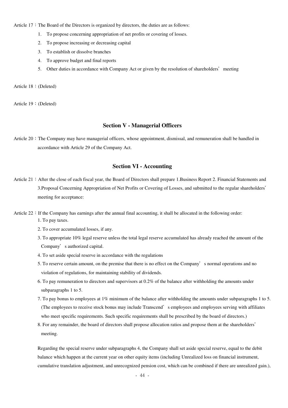Article  $17:$  The Board of the Directors is organized by directors, the duties are as follows:

- 1. To propose concerning appropriation of net profits or covering of losses.
- 2. To propose increasing or decreasing capital
- 3. To establish or dissolve branches
- 4. To approve budget and final reports
- 5. Other duties in accordance with Company Act or given by the resolution of shareholders' meeting

Article 18:(Deleted)

Article 19:(Deleted)

#### **Section V - Managerial Officers**

Article 20: The Company may have managerial officers, whose appointment, dismissal, and remuneration shall be handled in accordance with Article 29 of the Company Act.

#### **Section VI - Accounting**

- Article 21: After the close of each fiscal year, the Board of Directors shall prepare 1.Business Report 2. Financial Statements and 3.Proposal Concerning Appropriation of Net Profits or Covering of Losses, and submitted to the regular shareholders' meeting for acceptance:
- Article  $22:$  If the Company has earnings after the annual final accounting, it shall be allocated in the following order:
	- 1. To pay taxes.
	- 2. To cover accumulated losses, if any.
	- 3. To appropriate 10% legal reserve unless the total legal reserve accumulated has already reached the amount of the Company's authorized capital.
	- 4. To set aside special reserve in accordance with the regulations
	- 5. To reserve certain amount, on the premise that there is no effect on the Company's normal operations and no violation of regulations, for maintaining stability of dividends.
	- 6. To pay remuneration to directors and supervisors at 0.2% of the balance after withholding the amounts under subparagraphs 1 to 5.
	- 7. To pay bonus to employees at 1% minimum of the balance after withholding the amounts under subparagraphs 1 to 5. (The employees to receive stock bonus may include Transcend's employees and employees serving with affiliates who meet specific requirements. Such specific requirements shall be prescribed by the board of directors.)
	- 8. For any remainder, the board of directors shall propose allocation ratios and propose them at the shareholders' meeting.

Regarding the special reserve under subparagraphs 4, the Company shall set aside special reserve, equal to the debit balance which happen at the current year on other equity items (including Unrealized loss on financial instrument, cumulative translation adjustment, and unrecognized pension cost, which can be combined if there are unrealized gain.),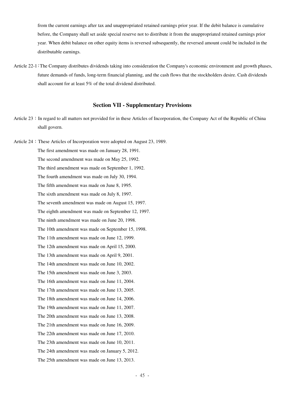from the current earnings after tax and unappropriated retained earnings prior year. If the debit balance is cumulative before, the Company shall set aside special reserve not to distribute it from the unappropriated retained earnings prior year. When debit balance on other equity items is reversed subsequently, the reversed amount could be included in the distributable earnings.

Article 22-1:The Company distributes dividends taking into consideration the Company's economic environment and growth phases, future demands of funds, long-term financial planning, and the cash flows that the stockholders desire. Cash dividends shall account for at least 5% of the total dividend distributed.

#### **Section VII - Supplementary Provisions**

Article 23: In regard to all matters not provided for in these Articles of Incorporation, the Company Act of the Republic of China shall govern.

Article 24: These Articles of Incorporation were adopted on August 23, 1989. The first amendment was made on January 28, 1991. The second amendment was made on May 25, 1992. The third amendment was made on September 1, 1992. The fourth amendment was made on July 30, 1994. The fifth amendment was made on June 8, 1995. The sixth amendment was made on July 8, 1997. The seventh amendment was made on August 15, 1997. The eighth amendment was made on September 12, 1997. The ninth amendment was made on June 20, 1998. The 10th amendment was made on September 15, 1998. The 11th amendment was made on June 12, 1999. The 12th amendment was made on April 15, 2000. The 13th amendment was made on April 9, 2001. The 14th amendment was made on June 10, 2002. The 15th amendment was made on June 3, 2003. The 16th amendment was made on June 11, 2004. The 17th amendment was made on June 13, 2005. The 18th amendment was made on June 14, 2006. The 19th amendment was made on June 11, 2007. The 20th amendment was made on June 13, 2008. The 21th amendment was made on June 16, 2009. The 22th amendment was made on June 17, 2010. The 23th amendment was made on June 10, 2011. The 24th amendment was made on January 5, 2012. The 25th amendment was made on June 13, 2013.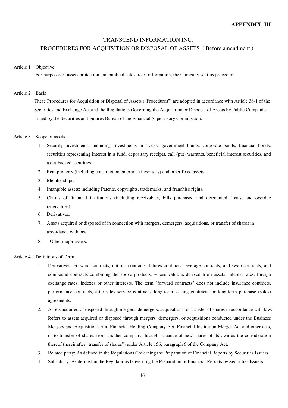## TRANSCEND INFORMATION INC.

#### PROCEDURES FOR ACOUISITION OR DISPOSAL OF ASSETS (Before amendment)

#### Article 1:Objective

For purposes of assets protection and public disclosure of information, the Company set this procedure.

#### Article 2: Basis

These Procedures for Acquisition or Disposal of Assets ("Procedures") are adopted in accordance with Article 36-1 of the Securities and Exchange Act and the Regulations Governing the Acquisition or Disposal of Assets by Public Companies issued by the Securities and Futures Bureau of the Financial Supervisory Commission.

#### Article 3: Scope of assets

- 1. Security investments: including Investments in stocks, government bonds, corporate bonds, financial bonds, securities representing interest in a fund, depositary receipts, call (put) warrants, beneficial interest securities, and asset-backed securities.
- 2. Real property (including construction enterprise inventory) and other fixed assets.
- 3. Memberships.
- 4. Intangible assets: including Patents, copyrights, trademarks, and franchise rights.
- 5. Claims of financial institutions (including receivables, bills purchased and discounted, loans, and overdue receivables).
- 6. Derivatives.
- 7. Assets acquired or disposed of in connection with mergers, demergers, acquisitions, or transfer of shares in accordance with law.
- 8. Other major assets.

#### Article 4:Definitions of Term

- 1. Derivatives: Forward contracts, options contracts, futures contracts, leverage contracts, and swap contracts, and compound contracts combining the above products, whose value is derived from assets, interest rates, foreign exchange rates, indexes or other interests. The term "forward contracts" does not include insurance contracts, performance contracts, after-sales service contracts, long-term leasing contracts, or long-term purchase (sales) agreements.
- 2. Assets acquired or disposed through mergers, demergers, acquisitions, or transfer of shares in accordance with law: Refers to assets acquired or disposed through mergers, demergers, or acquisitions conducted under the Business Mergers and Acquisitions Act, Financial Holding Company Act, Financial Institution Merger Act and other acts, or to transfer of shares from another company through issuance of new shares of its own as the consideration thereof (hereinafter "transfer of shares") under Article 156, paragraph 6 of the Company Act.
- 3. Related party: As defined in the Regulations Governing the Preparation of Financial Reports by Securities Issuers.
- 4. Subsidiary: As defined in the Regulations Governing the Preparation of Financial Reports by Securities Issuers.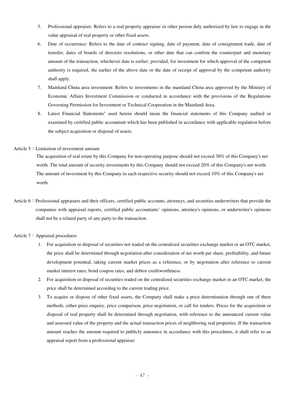- 5. Professional appraiser: Refers to a real property appraiser or other person duly authorized by law to engage in the value appraisal of real property or other fixed assets.
- 6. Date of occurrence: Refers to the date of contract signing, date of payment, date of consignment trade, date of transfer, dates of boards of directors resolutions, or other date that can confirm the counterpart and monetary amount of the transaction, whichever date is earlier; provided, for investment for which approval of the competent authority is required, the earlier of the above date or the date of receipt of approval by the competent authority shall apply.
- 7. Mainland China area investment: Refers to investments in the mainland China area approved by the Ministry of Economic Affairs Investment Commission or conducted in accordance with the provisions of the Regulations Governing Permission for Investment or Technical Cooperation in the Mainland Area.
- 8. Latest Financial Statements" used herein should mean the financial statements of this Company audited or examined by certified public accountant which has been published in accordance with applicable regulation before the subject acquisition or disposal of assets.

#### Article 5: Limitation of investment amount

The acquisition of real estate by this Company for non-operating purpose should not exceed 30% of this Company's net worth. The total amount of security investments by this Company should not exceed 20% of this Company's net worth. The amount of investment by this Company in each respective security should not exceed 10% of this Company's net worth.

Article 6: Professional appraisers and their officers, certified public accounts, attorneys, and securities underwriters that provide the companies with appraisal reports, certified public accountants' opinions, attorney's opinions, or underwriter's opinions shall not be a related party of any party to the transaction.

#### Article 7: Appraisal procedures

- 1. For acquisition or disposal of securities not traded on the centralized securities exchange market or an OTC market, the price shall be determined through negotiation after consideration of net worth per share, profitability, and future development potential, taking current market prices as a reference, or by negotiation after reference to current market interest rates, bond coupon rates, and debtor creditworthiness.
- 2. For acquisition or disposal of securities traded on the centralized securities exchange market or an OTC market, the price shall be determined according to the current trading price.
- 3. To acquire or dispose of other fixed assets, the Company shall make a price determination through one of three methods, either price enquiry, price comparison, price negotiation, or call for tenders. Prices for the acquisition or disposal of real property shall be determined through negotiation, with reference to the announced current value and assessed value of the property and the actual transaction prices of neighboring real properties. If the transaction amount reaches the amount required to publicly announce in accordance with this procedures, it shall refer to an appraisal report from a professional appraiser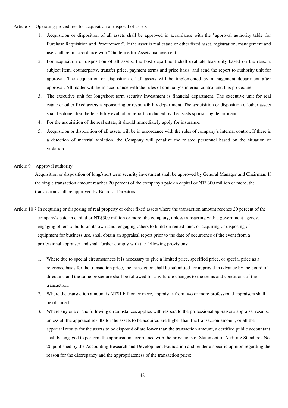Article  $8:$  Operating procedures for acquisition or disposal of assets

- 1. Acquisition or disposition of all assets shall be approved in accordance with the "approval authority table for Purchase Requisition and Procurement". If the asset is real estate or other fixed asset, registration, management and use shall be in accordance with "Guideline for Assets management".
- 2. For acquisition or disposition of all assets, the host department shall evaluate feasibility based on the reason, subject item, counterparty, transfer price, payment terms and price basis, and send the report to authority unit for approval. The acquisition or disposition of all assets will be implemented by management department after approval. All matter will be in accordance with the rules of company's internal control and this procedure.
- 3. The executive unit for long/short term security investment is financial department. The executive unit for real estate or other fixed assets is sponsoring or responsibility department. The acquisition or disposition of other assets shall be done after the feasibility evaluation report conducted by the assets sponsoring department.
- 4. For the acquisition of the real estate, it should immediately apply for insurance.
- 5. Acquisition or disposition of all assets will be in accordance with the rules of company's internal control. If there is a detection of material violation, the Company will penalize the related personnel based on the situation of violation.

#### Article 9: Approval authority

Acquisition or disposition of long/short term security investment shall be approved by General Manager and Chairman. If the single transaction amount reaches 20 percent of the company's paid-in capital or NT\$300 million or more, the transaction shall be approved by Board of Directors.

- Article  $10:$  In acquiring or disposing of real property or other fixed assets where the transaction amount reaches 20 percent of the company's paid-in capital or NT\$300 million or more, the company, unless transacting with a government agency, engaging others to build on its own land, engaging others to build on rented land, or acquiring or disposing of equipment for business use, shall obtain an appraisal report prior to the date of occurrence of the event from a professional appraiser and shall further comply with the following provisions:
	- 1. Where due to special circumstances it is necessary to give a limited price, specified price, or special price as a reference basis for the transaction price, the transaction shall be submitted for approval in advance by the board of directors, and the same procedure shall be followed for any future changes to the terms and conditions of the transaction.
	- 2. Where the transaction amount is NT\$1 billion or more, appraisals from two or more professional appraisers shall be obtained.
	- 3. Where any one of the following circumstances applies with respect to the professional appraiser's appraisal results, unless all the appraisal results for the assets to be acquired are higher than the transaction amount, or all the appraisal results for the assets to be disposed of are lower than the transaction amount, a certified public accountant shall be engaged to perform the appraisal in accordance with the provisions of Statement of Auditing Standards No. 20 published by the Accounting Research and Development Foundation and render a specific opinion regarding the reason for the discrepancy and the appropriateness of the transaction price: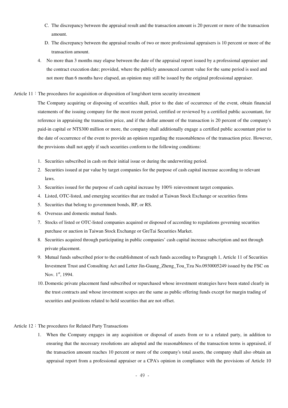- C. The discrepancy between the appraisal result and the transaction amount is 20 percent or more of the transaction amount.
- D. The discrepancy between the appraisal results of two or more professional appraisers is 10 percent or more of the transaction amount.
- 4. No more than 3 months may elapse between the date of the appraisal report issued by a professional appraiser and the contract execution date; provided, where the publicly announced current value for the same period is used and not more than 6 months have elapsed, an opinion may still be issued by the original professional appraiser.
- Article  $11$ : The procedures for acquisition or disposition of long/short term security investment

The Company acquiring or disposing of securities shall, prior to the date of occurrence of the event, obtain financial statements of the issuing company for the most recent period, certified or reviewed by a certified public accountant, for reference in appraising the transaction price, and if the dollar amount of the transaction is 20 percent of the company's paid-in capital or NT\$300 million or more, the company shall additionally engage a certified public accountant prior to the date of occurrence of the event to provide an opinion regarding the reasonableness of the transaction price. However, the provisions shall not apply if such securities conform to the following conditions:

- 1. Securities subscribed in cash on their initial issue or during the underwriting period.
- 2. Securities issued at par value by target companies for the purpose of cash capital increase according to relevant laws.
- 3. Securities issued for the purpose of cash capital increase by 100% reinvestment target companies.
- 4. Listed, OTC-listed, and emerging securities that are traded at Taiwan Stock Exchange or securities firms
- 5. Securities that belong to government bonds, RP, or RS.
- 6. Overseas and domestic mutual funds.
- 7. Stocks of listed or OTC-listed companies acquired or disposed of according to regulations governing securities purchase or auction in Taiwan Stock Exchange or GreTai Securities Market.
- 8. Securities acquired through participating in public companies' cash capital increase subscription and not through private placement.
- 9. Mutual funds subscribed prior to the establishment of such funds according to Paragraph 1, Article 11 of Securities Investment Trust and Consulting Act and Letter Jin-Guang\_Zheng\_Tou\_Tzu No.0930005249 issued by the FSC on Nov. 1st, 1994.
- 10. Domestic private placement fund subscribed or repurchased whose investment strategies have been stated clearly in the trust contracts and whose investment scopes are the same as public offering funds except for margin trading of securities and positions related to held securities that are not offset.

#### Article 12: The procedures for Related Party Transactions

1. When the Company engages in any acquisition or disposal of assets from or to a related party, in addition to ensuring that the necessary resolutions are adopted and the reasonableness of the transaction terms is appraised, if the transaction amount reaches 10 percent or more of the company's total assets, the company shall also obtain an appraisal report from a professional appraiser or a CPA's opinion in compliance with the provisions of Article 10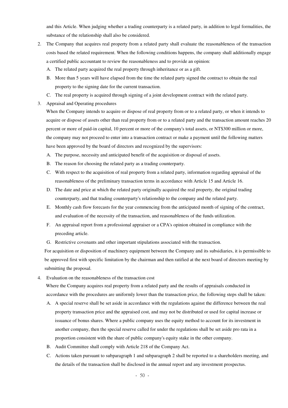and this Article. When judging whether a trading counterparty is a related party, in addition to legal formalities, the substance of the relationship shall also be considered.

- 2. The Company that acquires real property from a related party shall evaluate the reasonableness of the transaction costs based the related requirement. When the following conditions happens, the company shall additionally engage a certified public accountant to review the reasonableness and to provide an opinion:
	- A. The related party acquired the real property through inheritance or as a gift.
	- B. More than 5 years will have elapsed from the time the related party signed the contract to obtain the real property to the signing date for the current transaction.
	- C. The real property is acquired through signing of a joint development contract with the related party.
- 3. Appraisal and Operating procedures

When the Company intends to acquire or dispose of real property from or to a related party, or when it intends to acquire or dispose of assets other than real property from or to a related party and the transaction amount reaches 20 percent or more of paid-in capital, 10 percent or more of the company's total assets, or NT\$300 million or more, the company may not proceed to enter into a transaction contract or make a payment until the following matters have been approved by the board of directors and recognized by the supervisors:

- A. The purpose, necessity and anticipated benefit of the acquisition or disposal of assets.
- B. The reason for choosing the related party as a trading counterparty.
- C. With respect to the acquisition of real property from a related party, information regarding appraisal of the reasonableness of the preliminary transaction terms in accordance with Article 15 and Article 16.
- D. The date and price at which the related party originally acquired the real property, the original trading counterparty, and that trading counterparty's relationship to the company and the related party.
- E. Monthly cash flow forecasts for the year commencing from the anticipated month of signing of the contract, and evaluation of the necessity of the transaction, and reasonableness of the funds utilization.
- F. An appraisal report from a professional appraiser or a CPA's opinion obtained in compliance with the preceding article.
- G. Restrictive covenants and other important stipulations associated with the transaction.

For acquisition or disposition of machinery equipment between the Company and its subsidiaries, it is permissible to be approved first with specific limitation by the chairman and then ratified at the next board of directors meeting by submitting the proposal.

4. Evaluation on the reasonableness of the transaction cost

Where the Company acquires real property from a related party and the results of appraisals conducted in accordance with the procedures are uniformly lower than the transaction price, the following steps shall be taken:

- A. A special reserve shall be set aside in accordance with the regulations against the difference between the real property transaction price and the appraised cost, and may not be distributed or used for capital increase or issuance of bonus shares. Where a public company uses the equity method to account for its investment in another company, then the special reserve called for under the regulations shall be set aside pro rata in a proportion consistent with the share of public company's equity stake in the other company.
- B. Audit Committee shall comply with Article 218 of the Company Act.
- C. Actions taken pursuant to subparagraph 1 and subparagraph 2 shall be reported to a shareholders meeting, and the details of the transaction shall be disclosed in the annual report and any investment prospectus.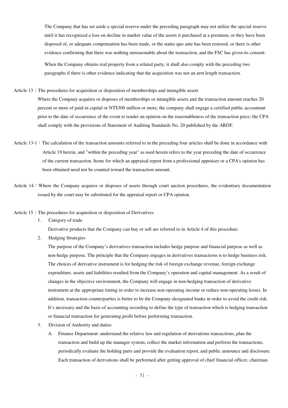The Company that has set aside a special reserve under the preceding paragraph may not utilize the special reserve until it has recognized a loss on decline in market value of the assets it purchased at a premium, or they have been disposed of, or adequate compensation has been made, or the status quo ante has been restored, or there is other evidence confirming that there was nothing unreasonable about the transaction, and the FSC has given its consent. When the Company obtains real property from a related party, it shall also comply with the preceding two paragraphs if there is other evidence indicating that the acquisition was not an arm length transaction.

Article  $13$ : The procedures for acquisition or disposition of memberships and intangible assets

Where the Company acquires or disposes of memberships or intangible assets and the transaction amount reaches 20 percent or more of paid-in capital or NT\$300 million or more, the company shall engage a certified public accountant prior to the date of occurrence of the event to render an opinion on the reasonableness of the transaction price; the CPA shall comply with the provisions of Statement of Auditing Standards No. 20 published by the ARDF.

- Article 13-1: The calculation of the transaction amounts referred to in the preceding four articles shall be done in accordance with Article 19 herein, and "within the preceding year" as used herein refers to the year preceding the date of occurrence of the current transaction. Items for which an appraisal report from a professional appraiser or a CPA's opinion has been obtained need not be counted toward the transaction amount.
- Article  $14$ : Where the Company acquires or disposes of assets through court auction procedures, the evidentiary documentation issued by the court may be substituted for the appraisal report or CPA opinion.
- Article  $15$ : The procedures for acquisition or disposition of Derivatives
	- 1. Category of trade

Derivative products that the Company can buy or sell are referred to in Article 4 of this procedure.

2. Hedging Strategies

The purpose of the Company's derivatives transaction includes hedge purpose and financial purpose as well as non-hedge purpose. The principle that the Company engages in derivatives transactions is to hedge business risk. The choices of derivative instrument is for hedging the risk of foreign exchange revenue, foreign exchange expenditure, assets and liabilities resulted from the Company's operation and capital management. As a result of changes in the objective environment, the Company will engage in non-hedging transaction of derivative instrument at the appropriate timing in order to increase non-operating income or reduce non-operating losses. In addition, transaction counterparties is better to be the Company-designated banks in order to avoid the credit risk. It's necessary and the basis of accounting recording to define the type of transaction which is hedging transaction or financial transaction for generating profit before performing transaction.

- 3. Division of Authority and duties
	- A. Finance Department: understand the relative law and regulation of derivations transactions, plan the transaction and build up the manager system, collect the market information and perform the transactions, periodically evaluate the holding parts and provide the evaluation report, and public announce and disclosure. Each transaction of derivations shall be performed after getting approval of chief financial officer, chairman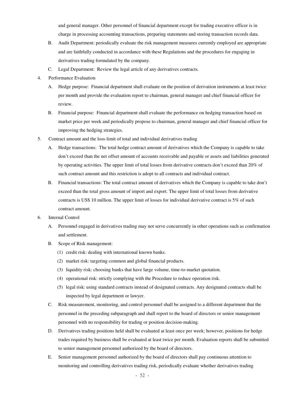and general manager. Other personnel of financial department except for trading executive officer is in charge in processing accounting transactions, preparing statements and storing transaction records data.

- B. Audit Department: periodically evaluate the risk management measures currently employed are appropriate and are faithfully conducted in accordance with these Regulations and the procedures for engaging in derivatives trading formulated by the company.
- C. Legal Department: Review the legal article of any derivatives contracts.
- 4. Performance Evaluation
	- A. Hedge purpose: Financial department shall evaluate on the position of derivation instruments at least twice per month and provide the evaluation report to chairman, general manager and chief financial officer for review.
	- B. Financial purpose: Financial department shall evaluate the performance on hedging transaction based on market price per week and periodically propose to chairman, general manager and chief financial officer for improving the hedging strategies.
- 5. Contract amount and the loss-limit of total and individual derivatives trading
	- A. Hedge transactions: The total hedge contract amount of derivatives which the Company is capable to take don't exceed than the net offset amount of accounts receivable and payable or assets and liabilities generated by operating activities. The upper limit of total losses from derivative contracts don't exceed than 20% of such contract amount and this restriction is adopt to all contracts and individual contract.
	- B. Financial transactions: The total contract amount of derivatives which the Company is capable to take don't exceed than the total gross amount of import and export. The upper limit of total losses from derivative contracts is US\$ 10 million. The upper limit of losses for individual derivative contract is 5% of such contract amount.
- 6. Internal Control
	- A. Personnel engaged in derivatives trading may not serve concurrently in other operations such as confirmation and settlement.
	- B. Scope of Risk management:
		- (1) credit risk: dealing with international known banks.
		- (2) market risk: targeting common and global financial products.
		- (3) liquidity risk: choosing banks that have large volume, time-to-market quotation.
		- (4) operational risk: strictly complying with the Procedure to reduce operation risk.
		- (5) legal risk: using standard contracts instead of designated contracts. Any designated contracts shall be inspected by legal department or lawyer.
	- C. Risk measurement, monitoring, and control personnel shall be assigned to a different department that the personnel in the preceding subparagraph and shall report to the board of directors or senior management personnel with no responsibility for trading or position decision-making.
	- D. Derivatives trading positions held shall be evaluated at least once per week; however, positions for hedge trades required by business shall be evaluated at least twice per month. Evaluation reports shall be submitted to senior management personnel authorized by the board of directors.
	- E. Senior management personnel authorized by the board of directors shall pay continuous attention to monitoring and controlling derivatives trading risk, periodically evaluate whether derivatives trading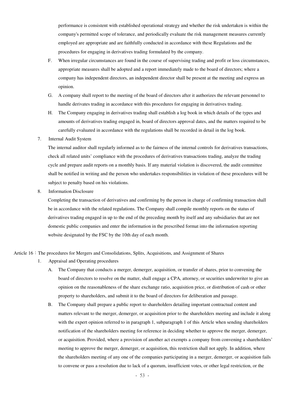performance is consistent with established operational strategy and whether the risk undertaken is within the company's permitted scope of tolerance, and periodically evaluate the risk management measures currently employed are appropriate and are faithfully conducted in accordance with these Regulations and the procedures for engaging in derivatives trading formulated by the company.

- F. When irregular circumstances are found in the course of supervising trading and profit or loss circumstances, appropriate measures shall be adopted and a report immediately made to the board of directors; where a company has independent directors, an independent director shall be present at the meeting and express an opinion.
- G. A company shall report to the meeting of the board of directors after it authorizes the relevant personnel to handle derivates trading in accordance with this procedures for engaging in derivatives trading.
- H. The Company engaging in derivatives trading shall establish a log book in which details of the types and amounts of derivatives trading engaged in, board of directors approval dates, and the matters required to be carefully evaluated in accordance with the regulations shall be recorded in detail in the log book.
- 7. Internal Audit System

The internal auditor shall regularly informed as to the fairness of the internal controls for derivatives transactions, check all related units' compliance with the procedures of derivatives transactions trading, analyze the trading cycle and prepare audit reports on a monthly basis. If any material violation is discovered, the audit committee shall be notified in writing and the person who undertakes responsibilities in violation of these procedures will be subject to penalty based on his violations.

8. Information Disclosure

Completing the transaction of derivatives and confirming by the person in charge of confirming transaction shall be in accordance with the related regulations. The Company shall compile monthly reports on the status of derivatives trading engaged in up to the end of the preceding month by itself and any subsidiaries that are not domestic public companies and enter the information in the prescribed format into the information reporting website designated by the FSC by the 10th day of each month.

#### Article 16:The procedures for Mergers and Consolidations, Splits, Acquisitions, and Assignment of Shares

- 1. Appraisal and Operating procedures
	- A. The Company that conducts a merger, demerger, acquisition, or transfer of shares, prior to convening the board of directors to resolve on the matter, shall engage a CPA, attorney, or securities underwriter to give an opinion on the reasonableness of the share exchange ratio, acquisition price, or distribution of cash or other property to shareholders, and submit it to the board of directors for deliberation and passage.
	- B. The Company shall prepare a public report to shareholders detailing important contractual content and matters relevant to the merger, demerger, or acquisition prior to the shareholders meeting and include it along with the expert opinion referred to in paragraph 1, subparagraph 1 of this Article when sending shareholders notification of the shareholders meeting for reference in deciding whether to approve the merger, demerger, or acquisition. Provided, where a provision of another act exempts a company from convening a shareholders' meeting to approve the merger, demerger, or acquisition, this restriction shall not apply. In addition, where the shareholders meeting of any one of the companies participating in a merger, demerger, or acquisition fails to convene or pass a resolution due to lack of a quorum, insufficient votes, or other legal restriction, or the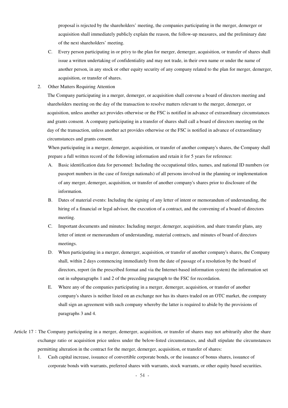proposal is rejected by the shareholders' meeting, the companies participating in the merger, demerger or acquisition shall immediately publicly explain the reason, the follow-up measures, and the preliminary date of the next shareholders' meeting.

- C. Every person participating in or privy to the plan for merger, demerger, acquisition, or transfer of shares shall issue a written undertaking of confidentiality and may not trade, in their own name or under the name of another person, in any stock or other equity security of any company related to the plan for merger, demerger, acquisition, or transfer of shares.
- 2. Other Matters Requiring Attention

The Company participating in a merger, demerger, or acquisition shall convene a board of directors meeting and shareholders meeting on the day of the transaction to resolve matters relevant to the merger, demerger, or acquisition, unless another act provides otherwise or the FSC is notified in advance of extraordinary circumstances and grants consent. A company participating in a transfer of shares shall call a board of directors meeting on the day of the transaction, unless another act provides otherwise or the FSC is notified in advance of extraordinary circumstances and grants consent.

When participating in a merger, demerger, acquisition, or transfer of another company's shares, the Company shall prepare a full written record of the following information and retain it for 5 years for reference:

- A. Basic identification data for personnel: Including the occupational titles, names, and national ID numbers (or passport numbers in the case of foreign nationals) of all persons involved in the planning or implementation of any merger, demerger, acquisition, or transfer of another company's shares prior to disclosure of the information.
- B. Dates of material events: Including the signing of any letter of intent or memorandum of understanding, the hiring of a financial or legal advisor, the execution of a contract, and the convening of a board of directors meeting.
- C. Important documents and minutes: Including merger, demerger, acquisition, and share transfer plans, any letter of intent or memorandum of understanding, material contracts, and minutes of board of directors meetings.
- D. When participating in a merger, demerger, acquisition, or transfer of another company's shares, the Company shall, within 2 days commencing immediately from the date of passage of a resolution by the board of directors, report (in the prescribed format and via the Internet-based information system) the information set out in subparagraphs 1 and 2 of the preceding paragraph to the FSC for recordation.
- E. Where any of the companies participating in a merger, demerger, acquisition, or transfer of another company's shares is neither listed on an exchange nor has its shares traded on an OTC market, the company shall sign an agreement with such company whereby the latter is required to abide by the provisions of paragraphs 3 and 4.
- Article  $17:$  The Company participating in a merger, demerger, acquisition, or transfer of shares may not arbitrarily alter the share exchange ratio or acquisition price unless under the below-listed circumstances, and shall stipulate the circumstances permitting alteration in the contract for the merger, demerger, acquisition, or transfer of shares:
	- 1. Cash capital increase, issuance of convertible corporate bonds, or the issuance of bonus shares, issuance of corporate bonds with warrants, preferred shares with warrants, stock warrants, or other equity based securities.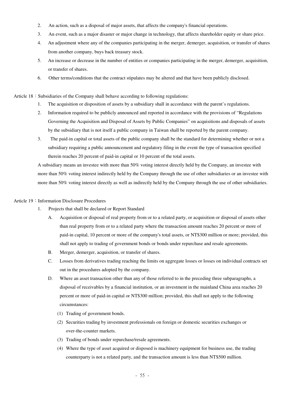- 2. An action, such as a disposal of major assets, that affects the company's financial operations.
- 3. An event, such as a major disaster or major change in technology, that affects shareholder equity or share price.
- 4. An adjustment where any of the companies participating in the merger, demerger, acquisition, or transfer of shares from another company, buys back treasury stock.
- 5. An increase or decrease in the number of entities or companies participating in the merger, demerger, acquisition, or transfer of shares.
- 6. Other terms/conditions that the contract stipulates may be altered and that have been publicly disclosed.

Article  $18:$  Subsidiaries of the Company shall behave according to following regulations:

- 1. The acquisition or disposition of assets by a subsidiary shall in accordance with the parent's regulations.
- 2. Information required to be publicly announced and reported in accordance with the provisions of "Regulations Governing the Acquisition and Disposal of Assets by Public Companies" on acquisitions and disposals of assets by the subsidiary that is not itself a public company in Taiwan shall be reported by the parent company.
- 3. The paid-in capital or total assets of the public company shall be the standard for determining whether or not a subsidiary requiring a public announcement and regulatory filing in the event the type of transaction specified therein reaches 20 percent of paid-in capital or 10 percent of the total assets.

A subsidiary means an investee with more than 50% voting interest directly held by the Company, an investee with more than 50% voting interest indirectly held by the Company through the use of other subsidiaries or an investee with more than 50% voting interest directly as well as indirectly held by the Company through the use of other subsidiaries.

#### Article 19: Information Disclosure Procedures

- 1. Projects that shall be declared or Report Standard
	- A. Acquisition or disposal of real property from or to a related party, or acquisition or disposal of assets other than real property from or to a related party where the transaction amount reaches 20 percent or more of paid-in capital, 10 percent or more of the company's total assets, or NT\$300 million or more; provided, this shall not apply to trading of government bonds or bonds under repurchase and resale agreements.
	- B. Merger, demerger, acquisition, or transfer of shares.
	- C. Losses from derivatives trading reaching the limits on aggregate losses or losses on individual contracts set out in the procedures adopted by the company.
	- D. Where an asset transaction other than any of those referred to in the preceding three subparagraphs, a disposal of receivables by a financial institution, or an investment in the mainland China area reaches 20 percent or more of paid-in capital or NT\$300 million; provided, this shall not apply to the following circumstances:
		- (1) Trading of government bonds.
		- (2) Securities trading by investment professionals on foreign or domestic securities exchanges or over-the-counter markets.
		- (3) Trading of bonds under repurchase/resale agreements.
		- (4) Where the type of asset acquired or disposed is machinery equipment for business use, the trading counterparty is not a related party, and the transaction amount is less than NT\$500 million.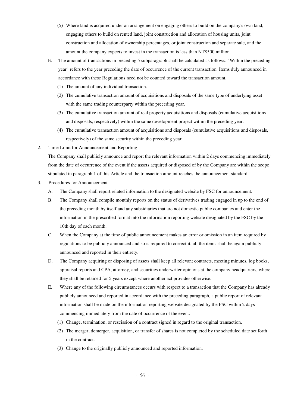- (5) Where land is acquired under an arrangement on engaging others to build on the company's own land, engaging others to build on rented land, joint construction and allocation of housing units, joint construction and allocation of ownership percentages, or joint construction and separate sale, and the amount the company expects to invest in the transaction is less than NT\$500 million.
- E. The amount of transactions in preceding 5 subparagraph shall be calculated as follows. "Within the preceding year" refers to the year preceding the date of occurrence of the current transaction. Items duly announced in accordance with these Regulations need not be counted toward the transaction amount.
	- (1) The amount of any individual transaction.
	- (2) The cumulative transaction amount of acquisitions and disposals of the same type of underlying asset with the same trading counterparty within the preceding year.
	- (3) The cumulative transaction amount of real property acquisitions and disposals (cumulative acquisitions and disposals, respectively) within the same development project within the preceding year.
	- (4) The cumulative transaction amount of acquisitions and disposals (cumulative acquisitions and disposals, respectively) of the same security within the preceding year.
- 2. Time Limit for Announcement and Reporting

The Company shall publicly announce and report the relevant information within 2 days commencing immediately from the date of occurrence of the event if the assets acquired or disposed of by the Company are within the scope stipulated in paragraph 1 of this Article and the transaction amount reaches the announcement standard.

- 3. Procedures for Announcement
	- A. The Company shall report related information to the designated website by FSC for announcement.
	- B. The Company shall compile monthly reports on the status of derivatives trading engaged in up to the end of the preceding month by itself and any subsidiaries that are not domestic public companies and enter the information in the prescribed format into the information reporting website designated by the FSC by the 10th day of each month.
	- C. When the Company at the time of public announcement makes an error or omission in an item required by regulations to be publicly announced and so is required to correct it, all the items shall be again publicly announced and reported in their entirety.
	- D. The Company acquiring or disposing of assets shall keep all relevant contracts, meeting minutes, log books, appraisal reports and CPA, attorney, and securities underwriter opinions at the company headquarters, where they shall be retained for 5 years except where another act provides otherwise.
	- E. Where any of the following circumstances occurs with respect to a transaction that the Company has already publicly announced and reported in accordance with the preceding paragraph, a public report of relevant information shall be made on the information reporting website designated by the FSC within 2 days commencing immediately from the date of occurrence of the event:
		- (1) Change, termination, or rescission of a contract signed in regard to the original transaction.
		- (2) The merger, demerger, acquisition, or transfer of shares is not completed by the scheduled date set forth in the contract.
		- (3) Change to the originally publicly announced and reported information.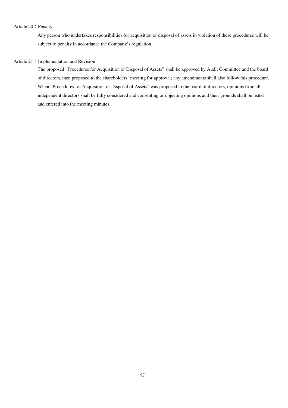#### Article 20: Penalty

Any person who undertakes responsibilities for acquisition or disposal of assets in violation of these procedures will be subject to penalty in accordance the Company's regulation.

#### Article 21: Implementation and Revision

The proposed "Procedures for Acquisition or Disposal of Assets" shall be approved by Audit Committee and the board of directors, then proposed to the shareholders' meeting for approval; any amendments shall also follow this procedure. When "Procedures for Acquisition or Disposal of Assets" was proposed to the board of directors, opinions from all independent directors shall be fully considered and consenting or objecting opinions and their grounds shall be listed and entered into the meeting minutes.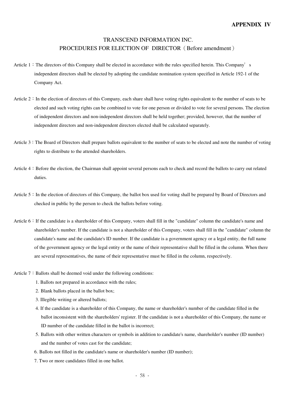# TRANSCEND INFORMATION INC. PROCEDURES FOR ELECTION OF DIRECTOR (Before amendment)

- Article  $1:$  The directors of this Company shall be elected in accordance with the rules specified herein. This Company's independent directors shall be elected by adopting the candidate nomination system specified in Article 192-1 of the Company Act.
- Article  $2:$  In the election of directors of this Company, each share shall have voting rights equivalent to the number of seats to be elected and such voting rights can be combined to vote for one person or divided to vote for several persons. The election of independent directors and non-independent directors shall be held together; provided, however, that the number of independent directors and non-independent directors elected shall be calculated separately.
- Article 3: The Board of Directors shall prepare ballots equivalent to the number of seats to be elected and note the number of voting rights to distribute to the attended shareholders.
- Article 4: Before the election, the Chairman shall appoint several persons each to check and record the ballots to carry out related duties.
- Article 5: In the election of directors of this Company, the ballot box used for voting shall be prepared by Board of Directors and checked in public by the person to check the ballots before voting.
- Article 6: If the candidate is a shareholder of this Company, voters shall fill in the "candidate" column the candidate's name and shareholder's number. If the candidate is not a shareholder of this Company, voters shall fill in the "candidate" column the candidate's name and the candidate's ID number. If the candidate is a government agency or a legal entity, the full name of the government agency or the legal entity or the name of their representative shall be filled in the column. When there are several representatives, the name of their representative must be filled in the column, respectively.
- Article  $7:$  Ballots shall be deemed void under the following conditions:
	- 1. Ballots not prepared in accordance with the rules;
	- 2. Blank ballots placed in the ballot box;
	- 3. Illegible writing or altered ballots;
	- 4. If the candidate is a shareholder of this Company, the name or shareholder's number of the candidate filled in the ballot inconsistent with the shareholders' register. If the candidate is not a shareholder of this Company, the name or ID number of the candidate filled in the ballot is incorrect;
	- 5. Ballots with other written characters or symbols in addition to candidate's name, shareholder's number (ID number) and the number of votes cast for the candidate;
	- 6. Ballots not filled in the candidate's name or shareholder's number (ID number);
	- 7. Two or more candidates filled in one ballot.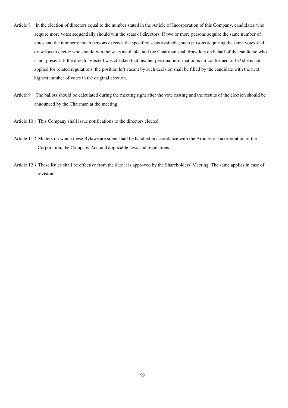- Article 8: In the election of directors equal to the number stated in the Article of Incorporation of this Company, candidates who acquire more votes sequentially should win the seats of directors. If two or more persons acquire the same number of votes and the number of such persons exceeds the specified seats available, such persons acquiring the same votes shall draw lots to decide who should win the seats available, and the Chairman shall draw lots on behalf of the candidate who is not present. If the director elected was checked that his/ her personal information is un-conformed or he/ she is not applied for related regulations, the position left vacant by such decision shall be filled by the candidate with the next highest number of votes in the original election.
- Article 9: The ballots should be calculated during the meeting right after the vote casting and the results of the election should be announced by the Chairman at the meeting.
- Article 10: This Company shall issue notifications to the directors elected.
- Article 11: Matters on which these Bylaws are silent shall be handled in accordance with the Articles of Incorporation of the Corporation, the Company Act, and applicable laws and regulations.
- Article 12: These Rules shall be effective from the date it is approved by the Shareholders' Meeting. The same applies in case of revision.